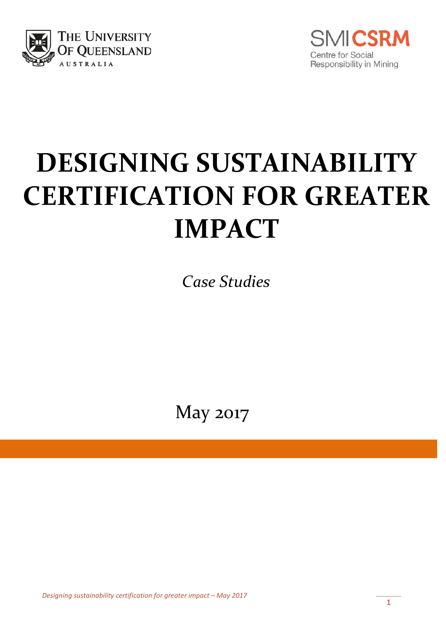



# **DESIGNING SUSTAINABILITY CERTIFICATION FOR GREATER IMPACT**

*Case Studies*

May 2017

*Designing sustainability certification for greater impact – May 2017*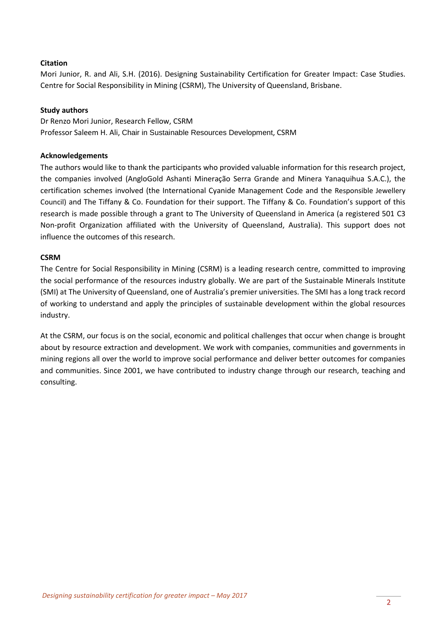#### **Citation**

Mori Junior, R. and Ali, S.H. (2016). Designing Sustainability Certification for Greater Impact: Case Studies. Centre for Social Responsibility in Mining (CSRM), The University of Queensland, Brisbane.

#### **Study authors**

Dr Renzo Mori Junior, Research Fellow, CSRM Professor Saleem H. Ali, Chair in Sustainable Resources Development, CSRM

#### **Acknowledgements**

The authors would like to thank the participants who provided valuable information for this research project, the companies involved (AngloGold Ashanti Mineração Serra Grande and Minera Yanaquihua S.A.C.), the certification schemes involved (the International Cyanide Management Code and the Responsible Jewellery Council) and The Tiffany & Co. Foundation for their support. The Tiffany & Co. Foundation's support of this research is made possible through a grant to The University of Queensland in America (a registered 501 C3 Non-profit Organization affiliated with the University of Queensland, Australia). This support does not influence the outcomes of this research.

#### **CSRM**

The Centre for Social Responsibility in Mining (CSRM) is a leading research centre, committed to improving the social performance of the resources industry globally. We are part of the Sustainable Minerals Institute (SMI) at The University of Queensland, one of Australia's premier universities. The SMI has a long track record of working to understand and apply the principles of sustainable development within the global resources industry.

At the CSRM, our focus is on the social, economic and political challenges that occur when change is brought about by resource extraction and development. We work with companies, communities and governments in mining regions all over the world to improve social performance and deliver better outcomes for companies and communities. Since 2001, we have contributed to industry change through our research, teaching and consulting.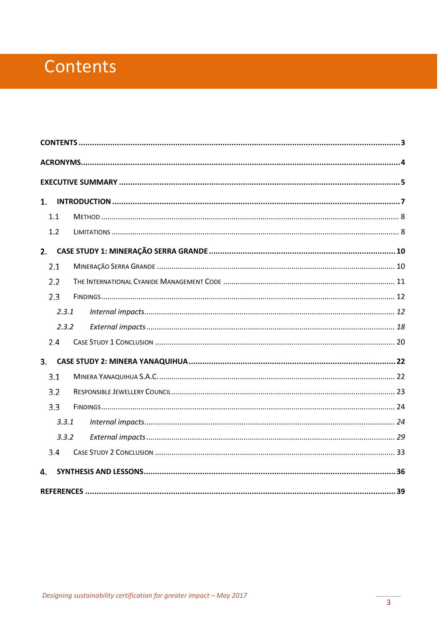# <span id="page-2-0"></span>Contents

| 1.  |       |  |  |
|-----|-------|--|--|
| 1.1 |       |  |  |
| 1.2 |       |  |  |
| 2.  |       |  |  |
| 2.1 |       |  |  |
| 2.2 |       |  |  |
| 2.3 |       |  |  |
|     | 2.3.1 |  |  |
|     | 2.3.2 |  |  |
| 2.4 |       |  |  |
| 3.  |       |  |  |
| 3.1 |       |  |  |
| 3.2 |       |  |  |
| 3.3 |       |  |  |
|     | 3.3.1 |  |  |
|     | 3.3.2 |  |  |
| 3.4 |       |  |  |
| 4.  |       |  |  |
|     |       |  |  |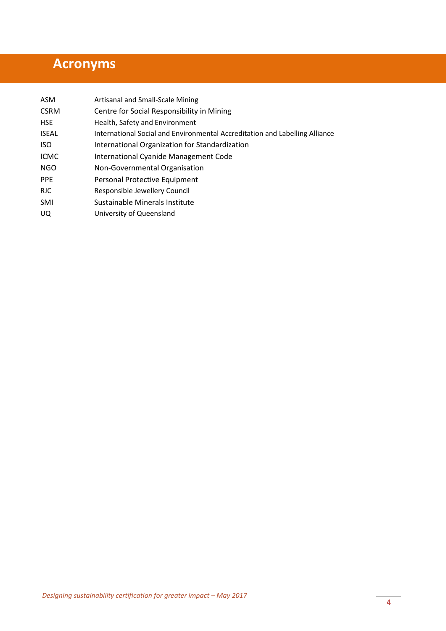# <span id="page-3-0"></span>**Acronyms**

| ASM          | Artisanal and Small-Scale Mining                                            |
|--------------|-----------------------------------------------------------------------------|
| <b>CSRM</b>  | Centre for Social Responsibility in Mining                                  |
| <b>HSE</b>   | Health, Safety and Environment                                              |
| <b>ISEAL</b> | International Social and Environmental Accreditation and Labelling Alliance |
| <b>ISO</b>   | International Organization for Standardization                              |
| <b>ICMC</b>  | International Cyanide Management Code                                       |
| <b>NGO</b>   | Non-Governmental Organisation                                               |
| <b>PPE</b>   | Personal Protective Equipment                                               |
| <b>RJC</b>   | Responsible Jewellery Council                                               |
| SMI          | Sustainable Minerals Institute                                              |
| $\cdots$     | .                                                                           |

UQ University of Queensland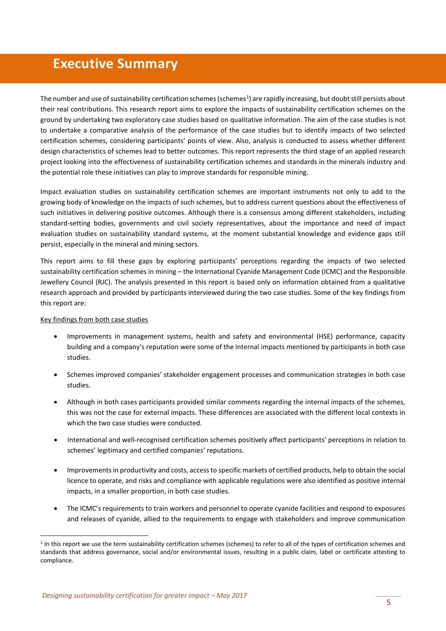## <span id="page-4-0"></span>**Executive Summary**

The number and use of sustainability certification schemes (schemes<sup>[1](#page-4-1)</sup>) are rapidly increasing, but doubt still persists about their real contributions. This research report aims to explore the impacts of sustainability certification schemes on the ground by undertaking two exploratory case studies based on qualitative information. The aim of the case studies is not to undertake a comparative analysis of the performance of the case studies but to identify impacts of two selected certification schemes, considering participants' points of view. Also, analysis is conducted to assess whether different design characteristics of schemes lead to better outcomes. This report represents the third stage of an applied research project looking into the effectiveness of sustainability certification schemes and standards in the minerals industry and the potential role these initiatives can play to improve standards for responsible mining.

Impact evaluation studies on sustainability certification schemes are important instruments not only to add to the growing body of knowledge on the impacts of such schemes, but to address current questions about the effectiveness of such initiatives in delivering positive outcomes. Although there is a consensus among different stakeholders, including standard-setting bodies, governments and civil society representatives, about the importance and need of impact evaluation studies on sustainability standard systems, at the moment substantial knowledge and evidence gaps still persist, especially in the mineral and mining sectors.

This report aims to fill these gaps by exploring participants' perceptions regarding the impacts of two selected sustainability certification schemes in mining – the International Cyanide Management Code (ICMC) and the Responsible Jewellery Council (RJC). The analysis presented in this report is based only on information obtained from a qualitative research approach and provided by participants interviewed during the two case studies. Some of the key findings from this report are:

#### Key findings from both case studies

- Improvements in management systems, health and safety and environmental (HSE) performance, capacity building and a company's reputation were some of the internal impacts mentioned by participants in both case studies.
- Schemes improved companies' stakeholder engagement processes and communication strategies in both case studies.
- Although in both cases participants provided similar comments regarding the internal impacts of the schemes, this was not the case for external impacts. These differences are associated with the different local contexts in which the two case studies were conducted.
- International and well-recognised certification schemes positively affect participants' perceptions in relation to schemes' legitimacy and certified companies' reputations.
- Improvements in productivity and costs, access to specific markets of certified products, help to obtain the social licence to operate, and risks and compliance with applicable regulations were also identified as positive internal impacts, in a smaller proportion, in both case studies.
- The ICMC's requirements to train workers and personnel to operate cyanide facilities and respond to exposures and releases of cyanide, allied to the requirements to engage with stakeholders and improve communication

<span id="page-4-1"></span> $1$  In this report we use the term sustainability certification schemes (schemes) to refer to all of the types of certification schemes and standards that address governance, social and/or environmental issues, resulting in a public claim, label or certificate attesting to compliance.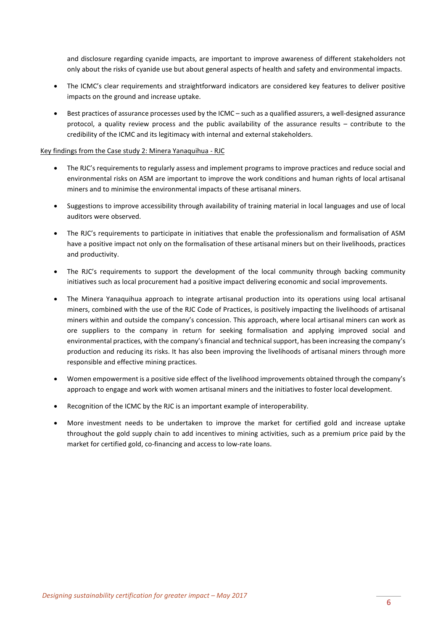and disclosure regarding cyanide impacts, are important to improve awareness of different stakeholders not only about the risks of cyanide use but about general aspects of health and safety and environmental impacts.

- The ICMC's clear requirements and straightforward indicators are considered key features to deliver positive impacts on the ground and increase uptake.
- Best practices of assurance processes used by the ICMC such as a qualified assurers, a well-designed assurance protocol, a quality review process and the public availability of the assurance results – contribute to the credibility of the ICMC and its legitimacy with internal and external stakeholders.

#### Key findings from the Case study 2: Minera Yanaquihua - RJC

- The RJC's requirements to regularly assess and implement programs to improve practices and reduce social and environmental risks on ASM are important to improve the work conditions and human rights of local artisanal miners and to minimise the environmental impacts of these artisanal miners.
- Suggestions to improve accessibility through availability of training material in local languages and use of local auditors were observed.
- The RJC's requirements to participate in initiatives that enable the professionalism and formalisation of ASM have a positive impact not only on the formalisation of these artisanal miners but on their livelihoods, practices and productivity.
- The RJC's requirements to support the development of the local community through backing community initiatives such as local procurement had a positive impact delivering economic and social improvements.
- The Minera Yanaquihua approach to integrate artisanal production into its operations using local artisanal miners, combined with the use of the RJC Code of Practices, is positively impacting the livelihoods of artisanal miners within and outside the company's concession. This approach, where local artisanal miners can work as ore suppliers to the company in return for seeking formalisation and applying improved social and environmental practices, with the company's financial and technical support, has been increasing the company's production and reducing its risks. It has also been improving the livelihoods of artisanal miners through more responsible and effective mining practices.
- Women empowerment is a positive side effect of the livelihood improvements obtained through the company's approach to engage and work with women artisanal miners and the initiatives to foster local development.
- Recognition of the ICMC by the RJC is an important example of interoperability.
- More investment needs to be undertaken to improve the market for certified gold and increase uptake throughout the gold supply chain to add incentives to mining activities, such as a premium price paid by the market for certified gold, co-financing and access to low-rate loans.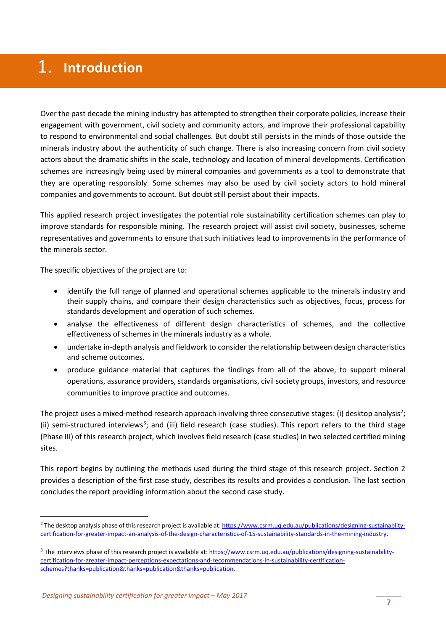# <span id="page-6-0"></span>1. Introduction

Over the past decade the mining industry has attempted to strengthen their corporate policies, increase their engagement with government, civil society and community actors, and improve their professional capability to respond to environmental and social challenges. But doubt still persists in the minds of those outside the minerals industry about the authenticity of such change. There is also increasing concern from civil society actors about the dramatic shifts in the scale, technology and location of mineral developments. Certification schemes are increasingly being used by mineral companies and governments as a tool to demonstrate that they are operating responsibly. Some schemes may also be used by civil society actors to hold mineral companies and governments to account. But doubt still persist about their impacts.

This applied research project investigates the potential role sustainability certification schemes can play to improve standards for responsible mining. The research project will assist civil society, businesses, scheme representatives and governments to ensure that such initiatives lead to improvements in the performance of the minerals sector.

The specific objectives of the project are to:

- identify the full range of planned and operational schemes applicable to the minerals industry and their supply chains, and compare their design characteristics such as objectives, focus, process for standards development and operation of such schemes.
- analyse the effectiveness of different design characteristics of schemes, and the collective effectiveness of schemes in the minerals industry as a whole.
- undertake in-depth analysis and fieldwork to consider the relationship between design characteristics and scheme outcomes.
- produce guidance material that captures the findings from all of the above, to support mineral operations, assurance providers, standards organisations, civil society groups, investors, and resource communities to improve practice and outcomes.

The project uses a mixed-method research approach involving three consecutive stages: (i) desktop analysis<sup>[2](#page-6-1)</sup>; (ii) semi-structured interviews<sup>[3](#page-6-2)</sup>; and (iii) field research (case studies). This report refers to the third stage (Phase III) of this research project, which involves field research (case studies) in two selected certified mining sites.

This report begins by outlining the methods used during the third stage of this research project. Section 2 provides a description of the first case study, describes its results and provides a conclusion. The last section concludes the report providing information about the second case study.

<span id="page-6-1"></span><sup>&</sup>lt;sup>2</sup> The desktop analysis phase of this research project is available at[: https://www.csrm.uq.edu.au/publications/designing-sustainablity](https://www.csrm.uq.edu.au/publications/designing-sustainablity-certification-for-greater-impact-an-analysis-of-the-design-characteristics-of-15-sustainability-standards-in-the-mining-industry)[certification-for-greater-impact-an-analysis-of-the-design-characteristics-of-15-sustainability-standards-in-the-mining-industry.](https://www.csrm.uq.edu.au/publications/designing-sustainablity-certification-for-greater-impact-an-analysis-of-the-design-characteristics-of-15-sustainability-standards-in-the-mining-industry)

<span id="page-6-2"></span><sup>&</sup>lt;sup>3</sup> The interviews phase of this research project is available at[: https://www.csrm.uq.edu.au/publications/designing-sustainability](https://www.csrm.uq.edu.au/publications/designing-sustainability-certification-for-greater-impact-perceptions-expectations-and-recommendations-in-sustainability-certification-schemes?thanks=publication&thanks=publication&thanks=publication)[certification-for-greater-impact-perceptions-expectations-and-recommendations-in-sustainability-certification](https://www.csrm.uq.edu.au/publications/designing-sustainability-certification-for-greater-impact-perceptions-expectations-and-recommendations-in-sustainability-certification-schemes?thanks=publication&thanks=publication&thanks=publication)[schemes?thanks=publication&thanks=publication&thanks=publication.](https://www.csrm.uq.edu.au/publications/designing-sustainability-certification-for-greater-impact-perceptions-expectations-and-recommendations-in-sustainability-certification-schemes?thanks=publication&thanks=publication&thanks=publication)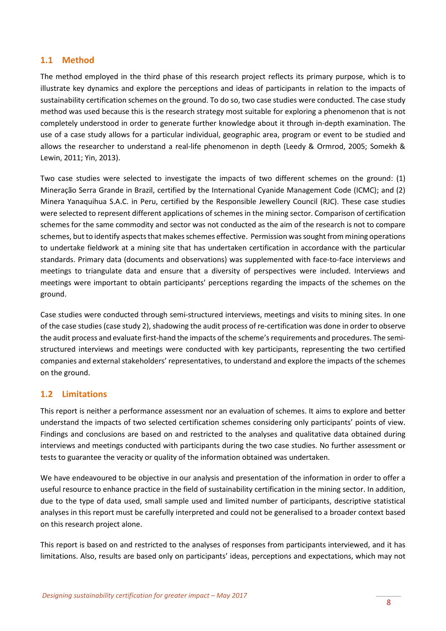#### <span id="page-7-0"></span>**1.1 Method**

The method employed in the third phase of this research project reflects its primary purpose, which is to illustrate key dynamics and explore the perceptions and ideas of participants in relation to the impacts of sustainability certification schemes on the ground. To do so, two case studies were conducted. The case study method was used because this is the research strategy most suitable for exploring a phenomenon that is not completely understood in order to generate further knowledge about it through in-depth examination. The use of a case study allows for a particular individual, geographic area, program or event to be studied and allows the researcher to understand a real-life phenomenon in depth (Leedy & Ormrod, 2005; Somekh & Lewin, 2011; Yin, 2013).

Two case studies were selected to investigate the impacts of two different schemes on the ground: (1) Mineração Serra Grande in Brazil, certified by the International Cyanide Management Code (ICMC); and (2) Minera Yanaquihua S.A.C. in Peru, certified by the Responsible Jewellery Council (RJC). These case studies were selected to represent different applications of schemes in the mining sector. Comparison of certification schemes for the same commodity and sector was not conducted as the aim of the research is not to compare schemes, but to identify aspects that makes schemes effective. Permission was sought from mining operations to undertake fieldwork at a mining site that has undertaken certification in accordance with the particular standards. Primary data (documents and observations) was supplemented with face-to-face interviews and meetings to triangulate data and ensure that a diversity of perspectives were included. Interviews and meetings were important to obtain participants' perceptions regarding the impacts of the schemes on the ground.

Case studies were conducted through semi-structured interviews, meetings and visits to mining sites. In one of the case studies (case study 2), shadowing the audit process of re-certification was done in order to observe the audit process and evaluate first-hand the impacts of the scheme's requirements and procedures. The semistructured interviews and meetings were conducted with key participants, representing the two certified companies and external stakeholders' representatives, to understand and explore the impacts of the schemes on the ground.

#### <span id="page-7-1"></span>**1.2 Limitations**

This report is neither a performance assessment nor an evaluation of schemes. It aims to explore and better understand the impacts of two selected certification schemes considering only participants' points of view. Findings and conclusions are based on and restricted to the analyses and qualitative data obtained during interviews and meetings conducted with participants during the two case studies. No further assessment or tests to guarantee the veracity or quality of the information obtained was undertaken.

We have endeavoured to be objective in our analysis and presentation of the information in order to offer a useful resource to enhance practice in the field of sustainability certification in the mining sector. In addition, due to the type of data used, small sample used and limited number of participants, descriptive statistical analyses in this report must be carefully interpreted and could not be generalised to a broader context based on this research project alone.

This report is based on and restricted to the analyses of responses from participants interviewed, and it has limitations. Also, results are based only on participants' ideas, perceptions and expectations, which may not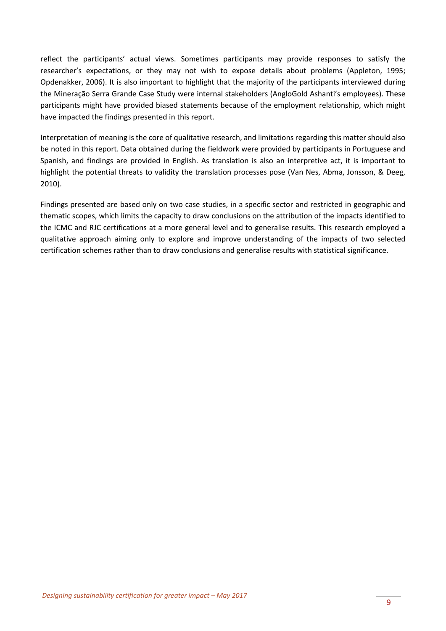reflect the participants' actual views. Sometimes participants may provide responses to satisfy the researcher's expectations, or they may not wish to expose details about problems (Appleton, 1995; Opdenakker, 2006). It is also important to highlight that the majority of the participants interviewed during the Mineração Serra Grande Case Study were internal stakeholders (AngloGold Ashanti's employees). These participants might have provided biased statements because of the employment relationship, which might have impacted the findings presented in this report.

Interpretation of meaning is the core of qualitative research, and limitations regarding this matter should also be noted in this report. Data obtained during the fieldwork were provided by participants in Portuguese and Spanish, and findings are provided in English. As translation is also an interpretive act, it is important to highlight the potential threats to validity the translation processes pose (Van Nes, Abma, Jonsson, & Deeg, 2010).

Findings presented are based only on two case studies, in a specific sector and restricted in geographic and thematic scopes, which limits the capacity to draw conclusions on the attribution of the impacts identified to the ICMC and RJC certifications at a more general level and to generalise results. This research employed a qualitative approach aiming only to explore and improve understanding of the impacts of two selected certification schemes rather than to draw conclusions and generalise results with statistical significance.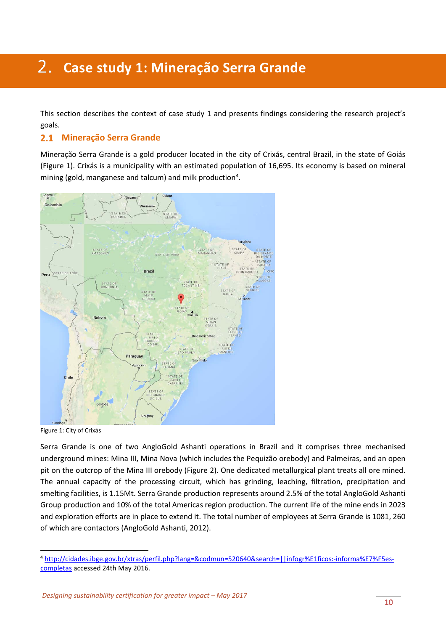# <span id="page-9-0"></span>**Case study 1: Mineração Serra Grande**

This section describes the context of case study 1 and presents findings considering the research project's goals.

#### <span id="page-9-1"></span>**Mineração Serra Grande**

Mineração Serra Grande is a gold producer located in the city of Crixás, central Brazil, in the state of Goiás (Figure 1). Crixás is a municipality with an estimated population of 16,695. Its economy is based on mineral mining (gold, manganese and talcum) and milk production<sup>[4](#page-9-2)</sup>.



Figure 1: City of Crixás

Serra Grande is one of two AngloGold Ashanti operations in Brazil and it comprises three mechanised underground mines: Mina III, Mina Nova (which includes the Pequizão orebody) and Palmeiras, and an open pit on the outcrop of the Mina III orebody (Figure 2). One dedicated metallurgical plant treats all ore mined. The annual capacity of the processing circuit, which has grinding, leaching, filtration, precipitation and smelting facilities, is 1.15Mt. Serra Grande production represents around 2.5% of the total AngloGold Ashanti Group production and 10% of the total Americas region production. The current life of the mine ends in 2023 and exploration efforts are in place to extend it. The total number of employees at Serra Grande is 1081, 260 of which are contactors (AngloGold Ashanti, 2012).

<span id="page-9-2"></span> <sup>4</sup> [http://cidades.ibge.gov.br/xtras/perfil.php?lang=&codmun=520640&search=||infogr%E1ficos:-informa%E7%F5es](http://cidades.ibge.gov.br/xtras/perfil.php?lang=&codmun=520640&search=||infogr%E1ficos:-informa%E7%F5es-completas)[completas](http://cidades.ibge.gov.br/xtras/perfil.php?lang=&codmun=520640&search=||infogr%E1ficos:-informa%E7%F5es-completas) accessed 24th May 2016.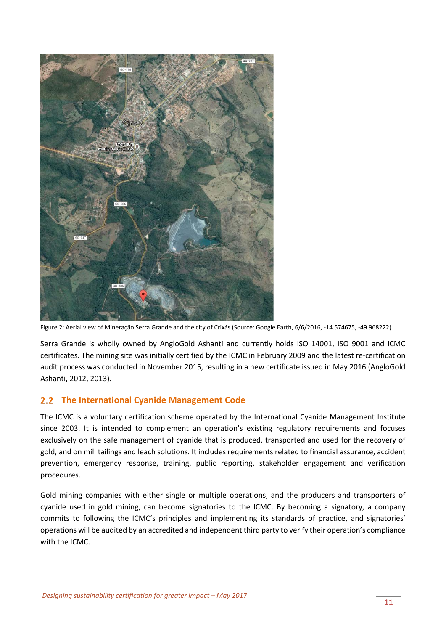

Figure 2: Aerial view of Mineração Serra Grande and the city of Crixás (Source: Google Earth, 6/6/2016, -14.574675, -49.968222)

Serra Grande is wholly owned by AngloGold Ashanti and currently holds ISO 14001, ISO 9001 and ICMC certificates. The mining site was initially certified by the ICMC in February 2009 and the latest re-certification audit process was conducted in November 2015, resulting in a new certificate issued in May 2016 (AngloGold Ashanti, 2012, 2013).

#### <span id="page-10-0"></span>**The International Cyanide Management Code**

The ICMC is a voluntary certification scheme operated by the International Cyanide Management Institute since 2003. It is intended to complement an operation's existing regulatory requirements and focuses exclusively on the safe management of cyanide that is produced, transported and used for the recovery of gold, and on mill tailings and leach solutions. It includes requirements related to financial assurance, accident prevention, emergency response, training, public reporting, stakeholder engagement and verification procedures.

Gold mining companies with either single or multiple operations, and the producers and transporters of cyanide used in gold mining, can become signatories to the ICMC. By becoming a signatory, a company commits to following the ICMC's principles and implementing its standards of practice, and signatories' operations will be audited by an accredited and independent third party to verify their operation's compliance with the ICMC.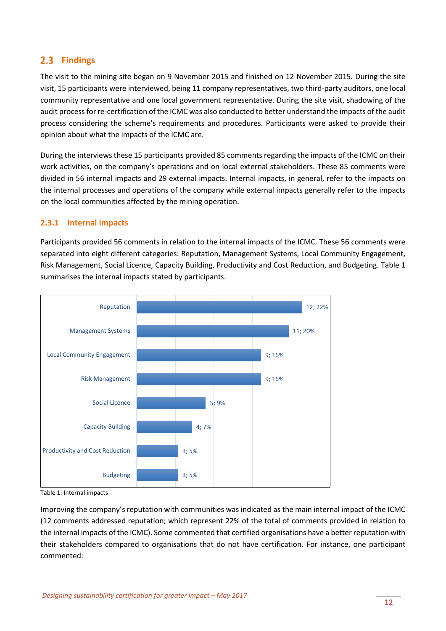#### <span id="page-11-0"></span>2.3 Findings

The visit to the mining site began on 9 November 2015 and finished on 12 November 2015. During the site visit, 15 participants were interviewed, being 11 company representatives, two third-party auditors, one local community representative and one local government representative. During the site visit, shadowing of the audit process for re-certification of the ICMC was also conducted to better understand the impacts of the audit process considering the scheme's requirements and procedures. Participants were asked to provide their opinion about what the impacts of the ICMC are.

During the interviews these 15 participants provided 85 comments regarding the impacts of the ICMC on their work activities, on the company's operations and on local external stakeholders. These 85 comments were divided in 56 internal impacts and 29 external impacts. Internal impacts, in general, refer to the impacts on the internal processes and operations of the company while external impacts generally refer to the impacts on the local communities affected by the mining operation.

#### <span id="page-11-1"></span>**2.3.1 Internal impacts**

Participants provided 56 comments in relation to the internal impacts of the ICMC. These 56 comments were separated into eight different categories: Reputation, Management Systems, Local Community Engagement, Risk Management, Social Licence, Capacity Building, Productivity and Cost Reduction, and Budgeting. Table 1 summarises the internal impacts stated by participants.



Table 1: Internal impacts

Improving the company's reputation with communities was indicated as the main internal impact of the ICMC (12 comments addressed reputation; which represent 22% of the total of comments provided in relation to the internal impacts of the ICMC). Some commented that certified organisations have a better reputation with their stakeholders compared to organisations that do not have certification. For instance, one participant commented: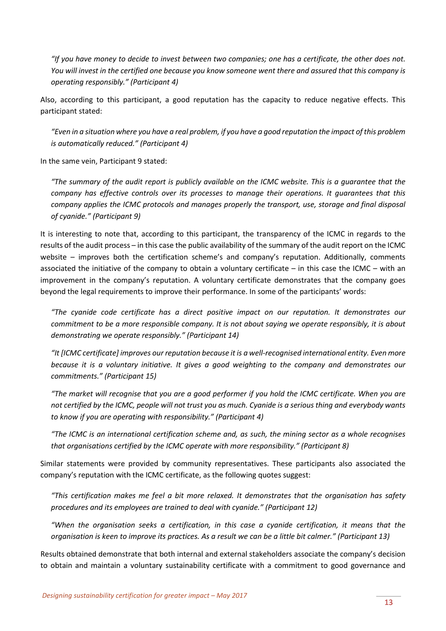*"If you have money to decide to invest between two companies; one has a certificate, the other does not. You will invest in the certified one because you know someone went there and assured that this company is operating responsibly." (Participant 4)*

Also, according to this participant, a good reputation has the capacity to reduce negative effects. This participant stated:

*"Even in a situation where you have a real problem, if you have a good reputation the impact of this problem is automatically reduced." (Participant 4)*

In the same vein, Participant 9 stated:

*"The summary of the audit report is publicly available on the ICMC website. This is a guarantee that the company has effective controls over its processes to manage their operations. It guarantees that this company applies the ICMC protocols and manages properly the transport, use, storage and final disposal of cyanide." (Participant 9)*

It is interesting to note that, according to this participant, the transparency of the ICMC in regards to the results of the audit process – in this case the public availability of the summary of the audit report on the ICMC website – improves both the certification scheme's and company's reputation. Additionally, comments associated the initiative of the company to obtain a voluntary certificate – in this case the ICMC – with an improvement in the company's reputation. A voluntary certificate demonstrates that the company goes beyond the legal requirements to improve their performance. In some of the participants' words:

*"The cyanide code certificate has a direct positive impact on our reputation. It demonstrates our commitment to be a more responsible company. It is not about saying we operate responsibly, it is about demonstrating we operate responsibly." (Participant 14)*

*"It [ICMC certificate] improves our reputation because it is a well-recognised international entity. Even more because it is a voluntary initiative. It gives a good weighting to the company and demonstrates our commitments." (Participant 15)*

*"The market will recognise that you are a good performer if you hold the ICMC certificate. When you are not certified by the ICMC, people will not trust you as much. Cyanide is a serious thing and everybody wants to know if you are operating with responsibility." (Participant 4)*

*"The ICMC is an international certification scheme and, as such, the mining sector as a whole recognises that organisations certified by the ICMC operate with more responsibility." (Participant 8)* 

Similar statements were provided by community representatives. These participants also associated the company's reputation with the ICMC certificate, as the following quotes suggest:

*"This certification makes me feel a bit more relaxed. It demonstrates that the organisation has safety procedures and its employees are trained to deal with cyanide." (Participant 12)*

*"When the organisation seeks a certification, in this case a cyanide certification, it means that the organisation is keen to improve its practices. As a result we can be a little bit calmer." (Participant 13)*

Results obtained demonstrate that both internal and external stakeholders associate the company's decision to obtain and maintain a voluntary sustainability certificate with a commitment to good governance and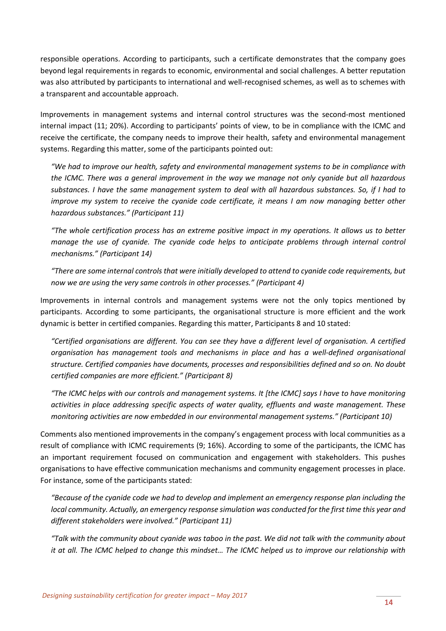responsible operations. According to participants, such a certificate demonstrates that the company goes beyond legal requirements in regards to economic, environmental and social challenges. A better reputation was also attributed by participants to international and well-recognised schemes, as well as to schemes with a transparent and accountable approach.

Improvements in management systems and internal control structures was the second-most mentioned internal impact (11; 20%). According to participants' points of view, to be in compliance with the ICMC and receive the certificate, the company needs to improve their health, safety and environmental management systems. Regarding this matter, some of the participants pointed out:

*"We had to improve our health, safety and environmental management systems to be in compliance with the ICMC. There was a general improvement in the way we manage not only cyanide but all hazardous substances. I have the same management system to deal with all hazardous substances. So, if I had to improve my system to receive the cyanide code certificate, it means I am now managing better other hazardous substances." (Participant 11)*

*"The whole certification process has an extreme positive impact in my operations. It allows us to better manage the use of cyanide. The cyanide code helps to anticipate problems through internal control mechanisms." (Participant 14)*

*"There are some internal controls that were initially developed to attend to cyanide code requirements, but now we are using the very same controls in other processes." (Participant 4)*

Improvements in internal controls and management systems were not the only topics mentioned by participants. According to some participants, the organisational structure is more efficient and the work dynamic is better in certified companies. Regarding this matter, Participants 8 and 10 stated:

*"Certified organisations are different. You can see they have a different level of organisation. A certified organisation has management tools and mechanisms in place and has a well-defined organisational structure. Certified companies have documents, processes and responsibilities defined and so on. No doubt certified companies are more efficient." (Participant 8)*

*"The ICMC helps with our controls and management systems. It [the ICMC] says I have to have monitoring activities in place addressing specific aspects of water quality, effluents and waste management. These monitoring activities are now embedded in our environmental management systems." (Participant 10)*

Comments also mentioned improvements in the company's engagement process with local communities as a result of compliance with ICMC requirements (9; 16%). According to some of the participants, the ICMC has an important requirement focused on communication and engagement with stakeholders. This pushes organisations to have effective communication mechanisms and community engagement processes in place. For instance, some of the participants stated:

*"Because of the cyanide code we had to develop and implement an emergency response plan including the local community. Actually, an emergency response simulation was conducted for the first time this year and different stakeholders were involved." (Participant 11)*

*"Talk with the community about cyanide was taboo in the past. We did not talk with the community about it at all. The ICMC helped to change this mindset… The ICMC helped us to improve our relationship with*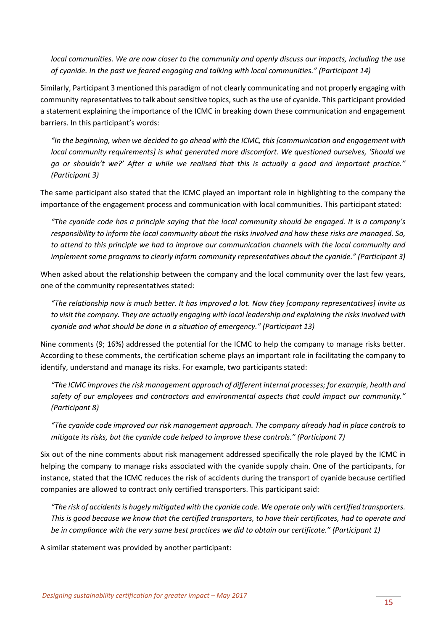*local communities. We are now closer to the community and openly discuss our impacts, including the use of cyanide. In the past we feared engaging and talking with local communities." (Participant 14)*

Similarly, Participant 3 mentioned this paradigm of not clearly communicating and not properly engaging with community representatives to talk about sensitive topics, such as the use of cyanide. This participant provided a statement explaining the importance of the ICMC in breaking down these communication and engagement barriers. In this participant's words:

*"In the beginning, when we decided to go ahead with the ICMC, this [communication and engagement with local community requirements] is what generated more discomfort. We questioned ourselves, 'Should we go or shouldn't we?' After a while we realised that this is actually a good and important practice." (Participant 3)*

The same participant also stated that the ICMC played an important role in highlighting to the company the importance of the engagement process and communication with local communities. This participant stated:

*"The cyanide code has a principle saying that the local community should be engaged. It is a company's responsibility to inform the local community about the risks involved and how these risks are managed. So, to attend to this principle we had to improve our communication channels with the local community and implement some programs to clearly inform community representatives about the cyanide." (Participant 3)*

When asked about the relationship between the company and the local community over the last few years, one of the community representatives stated:

*"The relationship now is much better. It has improved a lot. Now they [company representatives] invite us to visit the company. They are actually engaging with local leadership and explaining the risks involved with cyanide and what should be done in a situation of emergency." (Participant 13)*

Nine comments (9; 16%) addressed the potential for the ICMC to help the company to manage risks better. According to these comments, the certification scheme plays an important role in facilitating the company to identify, understand and manage its risks. For example, two participants stated:

*"The ICMC improves the risk management approach of different internal processes; for example, health and safety of our employees and contractors and environmental aspects that could impact our community." (Participant 8)*

*"The cyanide code improved our risk management approach. The company already had in place controls to mitigate its risks, but the cyanide code helped to improve these controls." (Participant 7)*

Six out of the nine comments about risk management addressed specifically the role played by the ICMC in helping the company to manage risks associated with the cyanide supply chain. One of the participants, for instance, stated that the ICMC reduces the risk of accidents during the transport of cyanide because certified companies are allowed to contract only certified transporters. This participant said:

*"The risk of accidents is hugely mitigated with the cyanide code. We operate only with certified transporters. This is good because we know that the certified transporters, to have their certificates, had to operate and be in compliance with the very same best practices we did to obtain our certificate." (Participant 1)*

A similar statement was provided by another participant: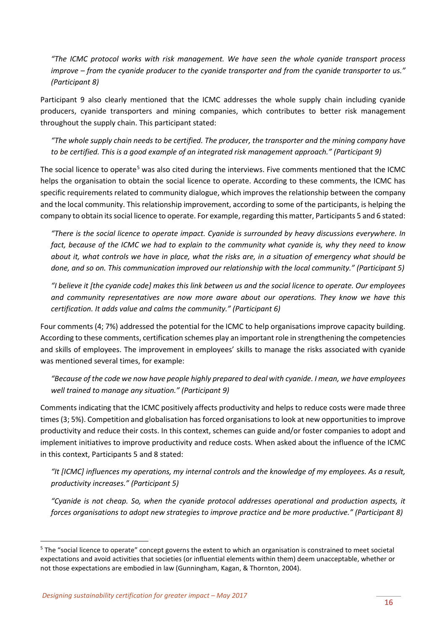*"The ICMC protocol works with risk management. We have seen the whole cyanide transport process improve – from the cyanide producer to the cyanide transporter and from the cyanide transporter to us." (Participant 8)*

Participant 9 also clearly mentioned that the ICMC addresses the whole supply chain including cyanide producers, cyanide transporters and mining companies, which contributes to better risk management throughout the supply chain. This participant stated:

*"The whole supply chain needs to be certified. The producer, the transporter and the mining company have to be certified. This is a good example of an integrated risk management approach." (Participant 9)*

The social licence to operate<sup>[5](#page-15-0)</sup> was also cited during the interviews. Five comments mentioned that the ICMC helps the organisation to obtain the social licence to operate. According to these comments, the ICMC has specific requirements related to community dialogue, which improves the relationship between the company and the local community. This relationship improvement, according to some of the participants, is helping the company to obtain its social licence to operate. For example, regarding this matter, Participants 5 and 6 stated:

*"There is the social licence to operate impact. Cyanide is surrounded by heavy discussions everywhere. In fact, because of the ICMC we had to explain to the community what cyanide is, why they need to know about it, what controls we have in place, what the risks are, in a situation of emergency what should be done, and so on. This communication improved our relationship with the local community." (Participant 5)*

*"I believe it [the cyanide code] makes this link between us and the social licence to operate. Our employees and community representatives are now more aware about our operations. They know we have this certification. It adds value and calms the community." (Participant 6)* 

Four comments (4; 7%) addressed the potential for the ICMC to help organisations improve capacity building. According to these comments, certification schemes play an important role in strengthening the competencies and skills of employees. The improvement in employees' skills to manage the risks associated with cyanide was mentioned several times, for example:

*"Because of the code we now have people highly prepared to deal with cyanide. I mean, we have employees well trained to manage any situation." (Participant 9)*

Comments indicating that the ICMC positively affects productivity and helps to reduce costs were made three times (3; 5%). Competition and globalisation has forced organisations to look at new opportunities to improve productivity and reduce their costs. In this context, schemes can guide and/or foster companies to adopt and implement initiatives to improve productivity and reduce costs. When asked about the influence of the ICMC in this context, Participants 5 and 8 stated:

*"It [ICMC] influences my operations, my internal controls and the knowledge of my employees. As a result, productivity increases." (Participant 5)*

*"Cyanide is not cheap. So, when the cyanide protocol addresses operational and production aspects, it forces organisations to adopt new strategies to improve practice and be more productive." (Participant 8)*

<span id="page-15-0"></span><sup>&</sup>lt;sup>5</sup> The "social licence to operate" concept governs the extent to which an organisation is constrained to meet societal expectations and avoid activities that societies (or influential elements within them) deem unacceptable, whether or not those expectations are embodied in law (Gunningham, Kagan, & Thornton, 2004).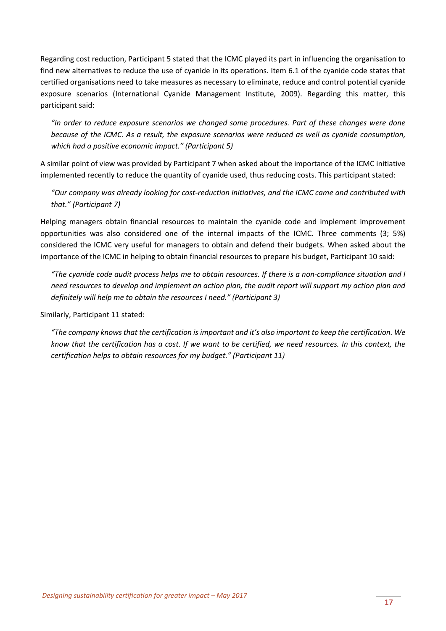Regarding cost reduction, Participant 5 stated that the ICMC played its part in influencing the organisation to find new alternatives to reduce the use of cyanide in its operations. Item 6.1 of the cyanide code states that certified organisations need to take measures as necessary to eliminate, reduce and control potential cyanide exposure scenarios (International Cyanide Management Institute, 2009). Regarding this matter, this participant said:

*"In order to reduce exposure scenarios we changed some procedures. Part of these changes were done because of the ICMC. As a result, the exposure scenarios were reduced as well as cyanide consumption, which had a positive economic impact." (Participant 5)*

A similar point of view was provided by Participant 7 when asked about the importance of the ICMC initiative implemented recently to reduce the quantity of cyanide used, thus reducing costs. This participant stated:

*"Our company was already looking for cost-reduction initiatives, and the ICMC came and contributed with that." (Participant 7)*

Helping managers obtain financial resources to maintain the cyanide code and implement improvement opportunities was also considered one of the internal impacts of the ICMC. Three comments (3; 5%) considered the ICMC very useful for managers to obtain and defend their budgets. When asked about the importance of the ICMC in helping to obtain financial resources to prepare his budget, Participant 10 said:

*"The cyanide code audit process helps me to obtain resources. If there is a non-compliance situation and I need resources to develop and implement an action plan, the audit report will support my action plan and definitely will help me to obtain the resources I need." (Participant 3)*

Similarly, Participant 11 stated:

*"The company knows that the certification is important and it's also important to keep the certification. We know that the certification has a cost. If we want to be certified, we need resources. In this context, the certification helps to obtain resources for my budget." (Participant 11)*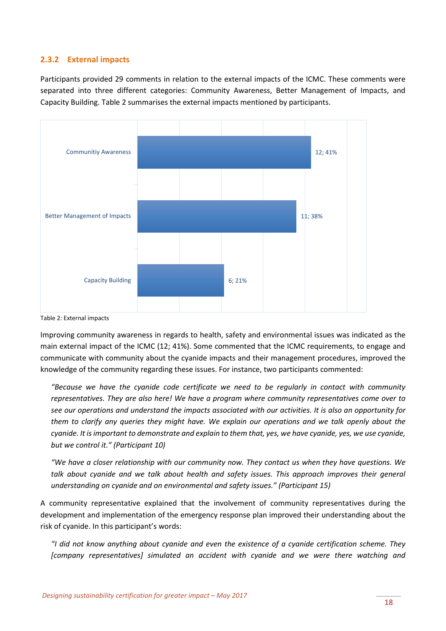#### <span id="page-17-0"></span>**2.3.2 External impacts**

Participants provided 29 comments in relation to the external impacts of the ICMC. These comments were separated into three different categories: Community Awareness, Better Management of Impacts, and Capacity Building. Table 2 summarises the external impacts mentioned by participants.



Table 2: External impacts

Improving community awareness in regards to health, safety and environmental issues was indicated as the main external impact of the ICMC (12; 41%). Some commented that the ICMC requirements, to engage and communicate with community about the cyanide impacts and their management procedures, improved the knowledge of the community regarding these issues. For instance, two participants commented:

*"Because we have the cyanide code certificate we need to be regularly in contact with community representatives. They are also here! We have a program where community representatives come over to see our operations and understand the impacts associated with our activities. It is also an opportunity for them to clarify any queries they might have. We explain our operations and we talk openly about the cyanide. It is important to demonstrate and explain to them that, yes, we have cyanide, yes, we use cyanide, but we control it." (Participant 10)*

*"We have a closer relationship with our community now. They contact us when they have questions. We talk about cyanide and we talk about health and safety issues. This approach improves their general understanding on cyanide and on environmental and safety issues." (Participant 15)*

A community representative explained that the involvement of community representatives during the development and implementation of the emergency response plan improved their understanding about the risk of cyanide. In this participant's words:

*"I did not know anything about cyanide and even the existence of a cyanide certification scheme. They [company representatives] simulated an accident with cyanide and we were there watching and*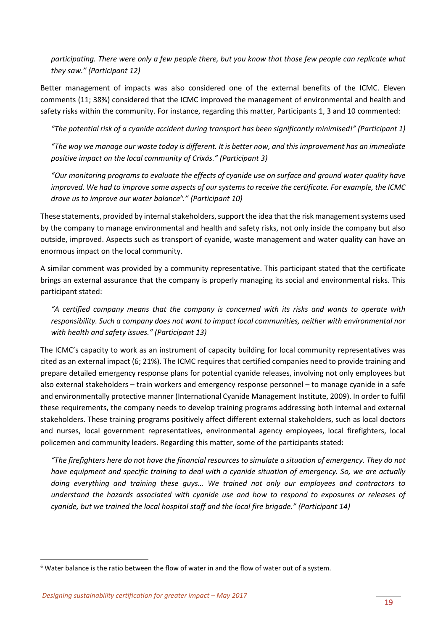*participating. There were only a few people there, but you know that those few people can replicate what they saw." (Participant 12)*

Better management of impacts was also considered one of the external benefits of the ICMC. Eleven comments (11; 38%) considered that the ICMC improved the management of environmental and health and safety risks within the community. For instance, regarding this matter, Participants 1, 3 and 10 commented:

*"The potential risk of a cyanide accident during transport has been significantly minimised!" (Participant 1)*

*"The way we manage our waste today is different. It is better now, and this improvement has an immediate positive impact on the local community of Crixás." (Participant 3)*

*"Our monitoring programs to evaluate the effects of cyanide use on surface and ground water quality have improved. We had to improve some aspects of our systems to receive the certificate. For example, the ICMC drove us to improve our water balance[6](#page-18-0) ." (Participant 10)*

These statements, provided by internal stakeholders, support the idea that the risk management systems used by the company to manage environmental and health and safety risks, not only inside the company but also outside, improved. Aspects such as transport of cyanide, waste management and water quality can have an enormous impact on the local community.

A similar comment was provided by a community representative. This participant stated that the certificate brings an external assurance that the company is properly managing its social and environmental risks. This participant stated:

*"A certified company means that the company is concerned with its risks and wants to operate with responsibility. Such a company does not want to impact local communities, neither with environmental nor with health and safety issues." (Participant 13)*

The ICMC's capacity to work as an instrument of capacity building for local community representatives was cited as an external impact (6; 21%). The ICMC requires that certified companies need to provide training and prepare detailed emergency response plans for potential cyanide releases, involving not only employees but also external stakeholders – train workers and emergency response personnel – to manage cyanide in a safe and environmentally protective manner (International Cyanide Management Institute, 2009). In order to fulfil these requirements, the company needs to develop training programs addressing both internal and external stakeholders. These training programs positively affect different external stakeholders, such as local doctors and nurses, local government representatives, environmental agency employees, local firefighters, local policemen and community leaders. Regarding this matter, some of the participants stated:

*"The firefighters here do not have the financial resources to simulate a situation of emergency. They do not have equipment and specific training to deal with a cyanide situation of emergency. So, we are actually doing everything and training these guys… We trained not only our employees and contractors to understand the hazards associated with cyanide use and how to respond to exposures or releases of cyanide, but we trained the local hospital staff and the local fire brigade." (Participant 14)* 

<span id="page-18-0"></span> $6$  Water balance is the ratio between the flow of water in and the flow of water out of a system.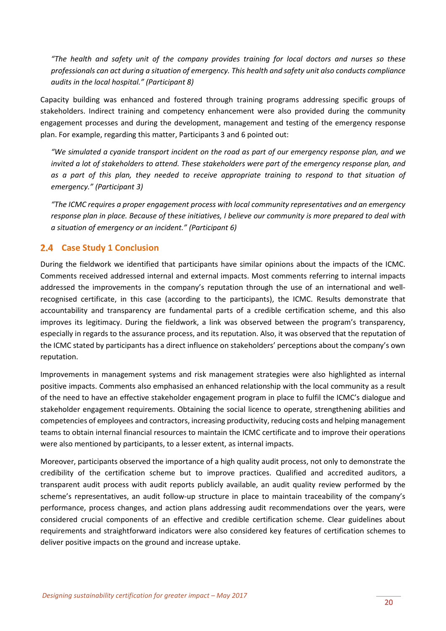*"The health and safety unit of the company provides training for local doctors and nurses so these professionals can act during a situation of emergency. This health and safety unit also conducts compliance audits in the local hospital." (Participant 8)*

Capacity building was enhanced and fostered through training programs addressing specific groups of stakeholders. Indirect training and competency enhancement were also provided during the community engagement processes and during the development, management and testing of the emergency response plan. For example, regarding this matter, Participants 3 and 6 pointed out:

*"We simulated a cyanide transport incident on the road as part of our emergency response plan, and we invited a lot of stakeholders to attend. These stakeholders were part of the emergency response plan, and as a part of this plan, they needed to receive appropriate training to respond to that situation of emergency." (Participant 3)*

*"The ICMC requires a proper engagement process with local community representatives and an emergency response plan in place. Because of these initiatives, I believe our community is more prepared to deal with a situation of emergency or an incident." (Participant 6)*

#### <span id="page-19-0"></span>**Case Study 1 Conclusion**

During the fieldwork we identified that participants have similar opinions about the impacts of the ICMC. Comments received addressed internal and external impacts. Most comments referring to internal impacts addressed the improvements in the company's reputation through the use of an international and wellrecognised certificate, in this case (according to the participants), the ICMC. Results demonstrate that accountability and transparency are fundamental parts of a credible certification scheme, and this also improves its legitimacy. During the fieldwork, a link was observed between the program's transparency, especially in regards to the assurance process, and its reputation. Also, it was observed that the reputation of the ICMC stated by participants has a direct influence on stakeholders' perceptions about the company's own reputation.

Improvements in management systems and risk management strategies were also highlighted as internal positive impacts. Comments also emphasised an enhanced relationship with the local community as a result of the need to have an effective stakeholder engagement program in place to fulfil the ICMC's dialogue and stakeholder engagement requirements. Obtaining the social licence to operate, strengthening abilities and competencies of employees and contractors, increasing productivity, reducing costs and helping management teams to obtain internal financial resources to maintain the ICMC certificate and to improve their operations were also mentioned by participants, to a lesser extent, as internal impacts.

Moreover, participants observed the importance of a high quality audit process, not only to demonstrate the credibility of the certification scheme but to improve practices. Qualified and accredited auditors, a transparent audit process with audit reports publicly available, an audit quality review performed by the scheme's representatives, an audit follow-up structure in place to maintain traceability of the company's performance, process changes, and action plans addressing audit recommendations over the years, were considered crucial components of an effective and credible certification scheme. Clear guidelines about requirements and straightforward indicators were also considered key features of certification schemes to deliver positive impacts on the ground and increase uptake.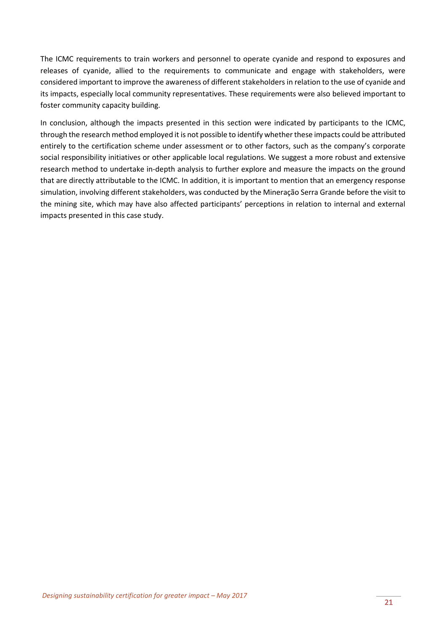The ICMC requirements to train workers and personnel to operate cyanide and respond to exposures and releases of cyanide, allied to the requirements to communicate and engage with stakeholders, were considered important to improve the awareness of different stakeholders in relation to the use of cyanide and its impacts, especially local community representatives. These requirements were also believed important to foster community capacity building.

In conclusion, although the impacts presented in this section were indicated by participants to the ICMC, through the research method employed it is not possible to identify whether these impacts could be attributed entirely to the certification scheme under assessment or to other factors, such as the company's corporate social responsibility initiatives or other applicable local regulations. We suggest a more robust and extensive research method to undertake in-depth analysis to further explore and measure the impacts on the ground that are directly attributable to the ICMC. In addition, it is important to mention that an emergency response simulation, involving different stakeholders, was conducted by the Mineração Serra Grande before the visit to the mining site, which may have also affected participants' perceptions in relation to internal and external impacts presented in this case study.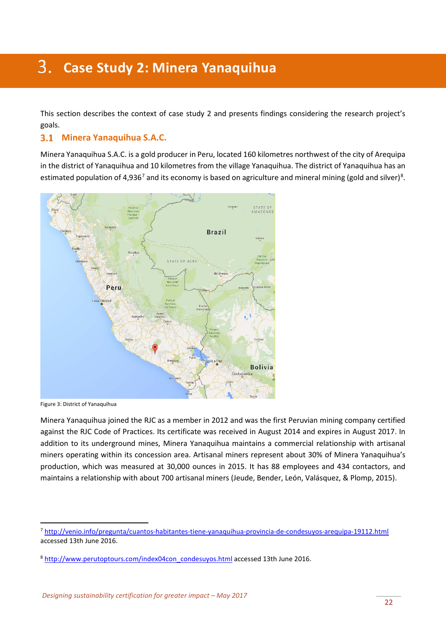# <span id="page-21-0"></span>**Case Study 2: Minera Yanaquihua**

This section describes the context of case study 2 and presents findings considering the research project's goals.

#### <span id="page-21-1"></span>**Minera Yanaquihua S.A.C.**

Minera Yanaquihua S.A.C. is a gold producer in Peru, located 160 kilometres northwest of the city of Arequipa in the district of Yanaquihua and 10 kilometres from the village Yanaquihua. The district of Yanaquihua has an estimated population of 4,936<sup>[7](#page-21-2)</sup> and its economy is based on agriculture and mineral mining (gold and silver)<sup>[8](#page-21-3)</sup>.



Figure 3: District of Yanaquihua

Minera Yanaquihua joined the RJC as a member in 2012 and was the first Peruvian mining company certified against the RJC Code of Practices. Its certificate was received in August 2014 and expires in August 2017. In addition to its underground mines, Minera Yanaquihua maintains a commercial relationship with artisanal miners operating within its concession area. Artisanal miners represent about 30% of Minera Yanaquihua's production, which was measured at 30,000 ounces in 2015. It has 88 employees and 434 contactors, and maintains a relationship with about 700 artisanal miners (Jeude, Bender, León, Valásquez, & Plomp, 2015).

<span id="page-21-2"></span> <sup>7</sup> <http://venio.info/pregunta/cuantos-habitantes-tiene-yanaquihua-provincia-de-condesuyos-arequipa-19112.html> accessed 13th June 2016.

<span id="page-21-3"></span><sup>8</sup> [http://www.perutoptours.com/index04con\\_condesuyos.html](http://www.perutoptours.com/index04con_condesuyos.html) accessed 13th June 2016.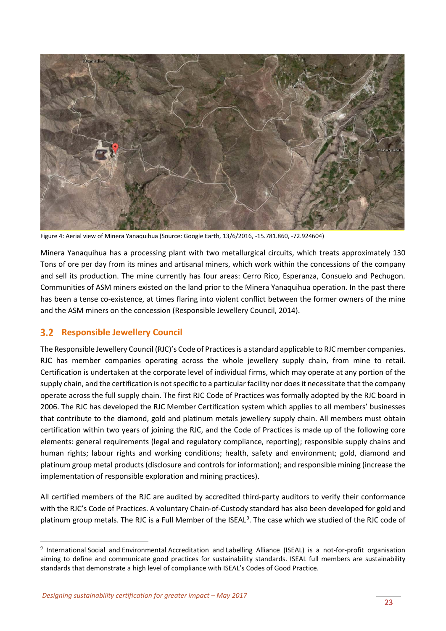

Figure 4: Aerial view of Minera Yanaquihua (Source: Google Earth, 13/6/2016, -15.781.860, -72.924604)

Minera Yanaquihua has a processing plant with two metallurgical circuits, which treats approximately 130 Tons of ore per day from its mines and artisanal miners, which work within the concessions of the company and sell its production. The mine currently has four areas: Cerro Rico, Esperanza, Consuelo and Pechugon. Communities of ASM miners existed on the land prior to the Minera Yanaquihua operation. In the past there has been a tense co-existence, at times flaring into violent conflict between the former owners of the mine and the ASM miners on the concession (Responsible Jewellery Council, 2014).

#### <span id="page-22-0"></span>**3.2 Responsible Jewellery Council**

The Responsible Jewellery Council (RJC)'s Code of Practicesis a standard applicable to RJC member companies. RJC has member companies operating across the whole jewellery supply chain, from mine to retail. Certification is undertaken at the corporate level of individual firms, which may operate at any portion of the supply chain, and the certification is not specific to a particular facility nor does it necessitate that the company operate across the full supply chain. The first RJC Code of Practices was formally adopted by the RJC board in 2006. The RJC has developed the RJC Member Certification system which applies to all members' businesses that contribute to the diamond, gold and platinum metals jewellery supply chain. All members must obtain certification within two years of joining the RJC, and the Code of Practices is made up of the following core elements: general requirements (legal and regulatory compliance, reporting); responsible supply chains and human rights; labour rights and working conditions; health, safety and environment; gold, diamond and platinum group metal products (disclosure and controls for information); and responsible mining (increase the implementation of responsible exploration and mining practices).

All certified members of the RJC are audited by accredited third-party auditors to verify their conformance with the RJC's Code of Practices. A voluntary Chain-of-Custody standard has also been developed for gold and platinum group metals. The RJC is a Full Member of the ISEAL<sup>[9](#page-22-1)</sup>. The case which we studied of the RJC code of

<span id="page-22-1"></span> <sup>9</sup> International Social and Environmental Accreditation and Labelling Alliance (ISEAL) is a not-for-profit organisation aiming to define and communicate good practices for sustainability standards. ISEAL full members are sustainability standards that demonstrate a high level of compliance with ISEAL's Codes of Good Practice.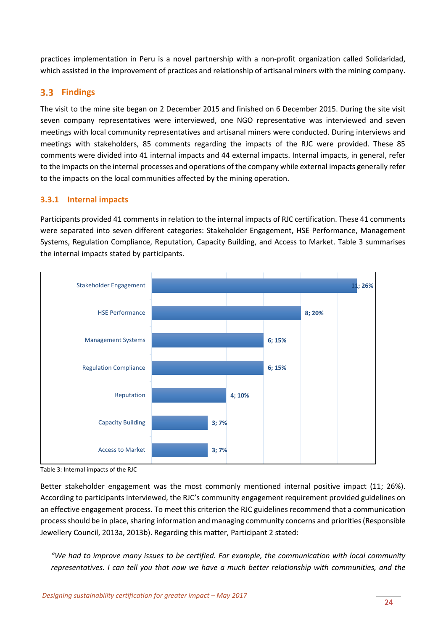practices implementation in Peru is a novel partnership with a non-profit organization called Solidaridad, which assisted in the improvement of practices and relationship of artisanal miners with the mining company.

#### <span id="page-23-0"></span>**Findings**

The visit to the mine site began on 2 December 2015 and finished on 6 December 2015. During the site visit seven company representatives were interviewed, one NGO representative was interviewed and seven meetings with local community representatives and artisanal miners were conducted. During interviews and meetings with stakeholders, 85 comments regarding the impacts of the RJC were provided. These 85 comments were divided into 41 internal impacts and 44 external impacts. Internal impacts, in general, refer to the impacts on the internal processes and operations of the company while external impacts generally refer to the impacts on the local communities affected by the mining operation.

#### <span id="page-23-1"></span>**3.3.1 Internal impacts**

Participants provided 41 comments in relation to the internal impacts of RJC certification. These 41 comments were separated into seven different categories: Stakeholder Engagement, HSE Performance, Management Systems, Regulation Compliance, Reputation, Capacity Building, and Access to Market. Table 3 summarises the internal impacts stated by participants.



Table 3: Internal impacts of the RJC

Better stakeholder engagement was the most commonly mentioned internal positive impact (11; 26%). According to participants interviewed, the RJC's community engagement requirement provided guidelines on an effective engagement process. To meet this criterion the RJC guidelines recommend that a communication process should be in place, sharing information and managing community concerns and priorities (Responsible Jewellery Council, 2013a, 2013b). Regarding this matter, Participant 2 stated:

*"We had to improve many issues to be certified. For example, the communication with local community representatives. I can tell you that now we have a much better relationship with communities, and the*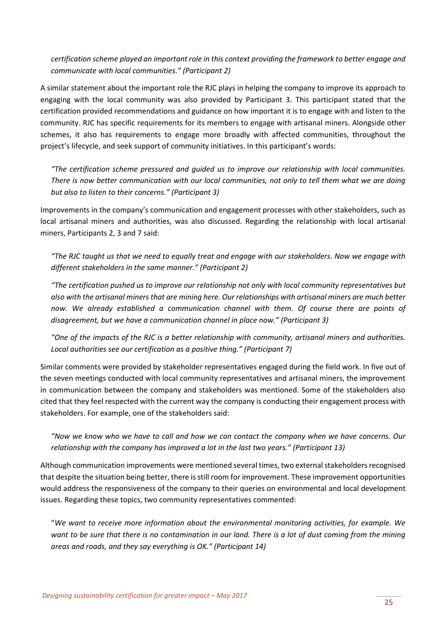*certification scheme played an important role in this context providing the framework to better engage and communicate with local communities." (Participant 2)*

A similar statement about the important role the RJC plays in helping the company to improve its approach to engaging with the local community was also provided by Participant 3. This participant stated that the certification provided recommendations and guidance on how important it is to engage with and listen to the community. RJC has specific requirements for its members to engage with artisanal miners. Alongside other schemes, it also has requirements to engage more broadly with affected communities, throughout the project's lifecycle, and seek support of community initiatives. In this participant's words:

*"The certification scheme pressured and guided us to improve our relationship with local communities. There is now better communication with our local communities, not only to tell them what we are doing but also to listen to their concerns." (Participant 3)*

Improvements in the company's communication and engagement processes with other stakeholders, such as local artisanal miners and authorities, was also discussed. Regarding the relationship with local artisanal miners, Participants 2, 3 and 7 said:

*"The RJC taught us that we need to equally treat and engage with our stakeholders. Now we engage with different stakeholders in the same manner." (Participant 2)*

*"The certification pushed us to improve our relationship not only with local community representatives but also with the artisanal miners that are mining here. Our relationships with artisanal miners are much better now. We already established a communication channel with them. Of course there are points of disagreement, but we have a communication channel in place now." (Participant 3)*

*"One of the impacts of the RJC is a better relationship with community, artisanal miners and authorities. Local authorities see our certification as a positive thing." (Participant 7)*

Similar comments were provided by stakeholder representatives engaged during the field work. In five out of the seven meetings conducted with local community representatives and artisanal miners, the improvement in communication between the company and stakeholders was mentioned. Some of the stakeholders also cited that they feel respected with the current way the company is conducting their engagement process with stakeholders. For example, one of the stakeholders said:

*"Now we know who we have to call and how we can contact the company when we have concerns. Our relationship with the company has improved a lot in the last two years." (Participant 13)*

Although communication improvements were mentioned several times, two external stakeholders recognised that despite the situation being better, there is still room for improvement. These improvement opportunities would address the responsiveness of the company to their queries on environmental and local development issues. Regarding these topics, two community representatives commented:

"*We want to receive more information about the environmental monitoring activities, for example. We want to be sure that there is no contamination in our land. There is a lot of dust coming from the mining areas and roads, and they say everything is OK." (Participant 14)*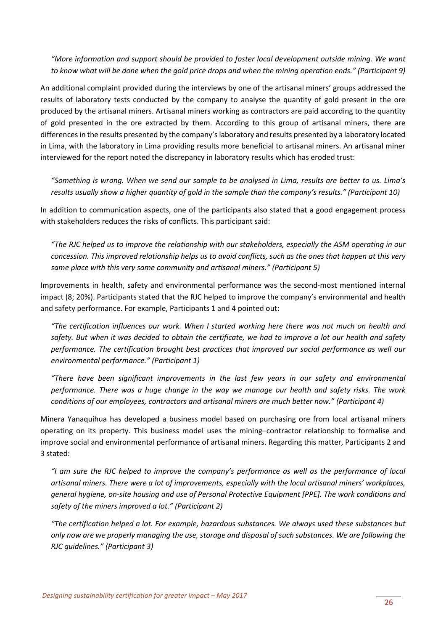*"More information and support should be provided to foster local development outside mining. We want to know what will be done when the gold price drops and when the mining operation ends." (Participant 9)*

An additional complaint provided during the interviews by one of the artisanal miners' groups addressed the results of laboratory tests conducted by the company to analyse the quantity of gold present in the ore produced by the artisanal miners. Artisanal miners working as contractors are paid according to the quantity of gold presented in the ore extracted by them. According to this group of artisanal miners, there are differences in the results presented by the company's laboratory and results presented by a laboratory located in Lima, with the laboratory in Lima providing results more beneficial to artisanal miners. An artisanal miner interviewed for the report noted the discrepancy in laboratory results which has eroded trust:

*"Something is wrong. When we send our sample to be analysed in Lima, results are better to us. Lima's results usually show a higher quantity of gold in the sample than the company's results." (Participant 10)*

In addition to communication aspects, one of the participants also stated that a good engagement process with stakeholders reduces the risks of conflicts. This participant said:

*"The RJC helped us to improve the relationship with our stakeholders, especially the ASM operating in our concession. This improved relationship helps us to avoid conflicts, such as the ones that happen at this very same place with this very same community and artisanal miners." (Participant 5)*

Improvements in health, safety and environmental performance was the second-most mentioned internal impact (8; 20%). Participants stated that the RJC helped to improve the company's environmental and health and safety performance. For example, Participants 1 and 4 pointed out:

*"The certification influences our work. When I started working here there was not much on health and safety. But when it was decided to obtain the certificate, we had to improve a lot our health and safety performance. The certification brought best practices that improved our social performance as well our environmental performance." (Participant 1)*

*"There have been significant improvements in the last few years in our safety and environmental performance. There was a huge change in the way we manage our health and safety risks. The work conditions of our employees, contractors and artisanal miners are much better now." (Participant 4)*

Minera Yanaquihua has developed a business model based on purchasing ore from local artisanal miners operating on its property. This business model uses the mining–contractor relationship to formalise and improve social and environmental performance of artisanal miners. Regarding this matter, Participants 2 and 3 stated:

*"I am sure the RJC helped to improve the company's performance as well as the performance of local artisanal miners. There were a lot of improvements, especially with the local artisanal miners' workplaces, general hygiene, on-site housing and use of Personal Protective Equipment [PPE]. The work conditions and safety of the miners improved a lot." (Participant 2)*

*"The certification helped a lot. For example, hazardous substances. We always used these substances but only now are we properly managing the use, storage and disposal of such substances. We are following the RJC guidelines." (Participant 3)*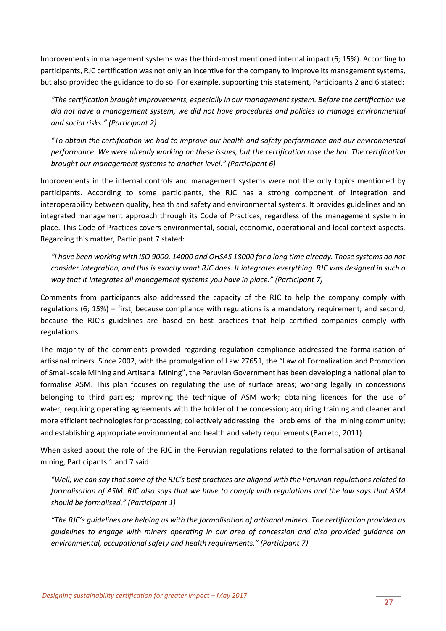Improvements in management systems was the third-most mentioned internal impact (6; 15%). According to participants, RJC certification was not only an incentive for the company to improve its management systems, but also provided the guidance to do so. For example, supporting this statement, Participants 2 and 6 stated:

*"The certification brought improvements, especially in our management system. Before the certification we did not have a management system, we did not have procedures and policies to manage environmental and social risks." (Participant 2)*

*"To obtain the certification we had to improve our health and safety performance and our environmental performance. We were already working on these issues, but the certification rose the bar. The certification brought our management systems to another level." (Participant 6)* 

Improvements in the internal controls and management systems were not the only topics mentioned by participants. According to some participants, the RJC has a strong component of integration and interoperability between quality, health and safety and environmental systems. It provides guidelines and an integrated management approach through its Code of Practices, regardless of the management system in place. This Code of Practices covers environmental, social, economic, operational and local context aspects. Regarding this matter, Participant 7 stated:

*"I have been working with ISO 9000, 14000 and OHSAS 18000 for a long time already. Those systems do not consider integration, and this is exactly what RJC does. It integrates everything. RJC was designed in such a way that it integrates all management systems you have in place." (Participant 7)*

Comments from participants also addressed the capacity of the RJC to help the company comply with regulations (6; 15%) – first, because compliance with regulations is a mandatory requirement; and second, because the RJC's guidelines are based on best practices that help certified companies comply with regulations.

The majority of the comments provided regarding regulation compliance addressed the formalisation of artisanal miners. Since 2002, with the promulgation of Law 27651, the "Law of Formalization and Promotion of Small-scale Mining and Artisanal Mining", the Peruvian Government has been developing a national plan to formalise ASM. This plan focuses on regulating the use of surface areas; working legally in concessions belonging to third parties; improving the technique of ASM work; obtaining licences for the use of water; requiring operating agreements with the holder of the concession; acquiring training and cleaner and more efficient technologies for processing; collectively addressing the problems of the mining community; and establishing appropriate environmental and health and safety requirements (Barreto, 2011).

When asked about the role of the RJC in the Peruvian regulations related to the formalisation of artisanal mining, Participants 1 and 7 said:

*"Well, we can say that some of the RJC's best practices are aligned with the Peruvian regulations related to formalisation of ASM. RJC also says that we have to comply with regulations and the law says that ASM should be formalised." (Participant 1)*

*"The RJC's guidelines are helping us with the formalisation of artisanal miners. The certification provided us guidelines to engage with miners operating in our area of concession and also provided guidance on environmental, occupational safety and health requirements." (Participant 7)*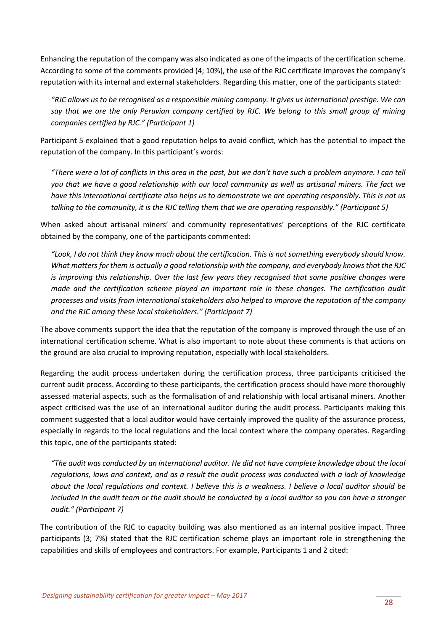Enhancing the reputation of the company was also indicated as one of the impacts of the certification scheme. According to some of the comments provided (4; 10%), the use of the RJC certificate improves the company's reputation with its internal and external stakeholders. Regarding this matter, one of the participants stated:

*"RJC allows us to be recognised as a responsible mining company. It gives us international prestige. We can say that we are the only Peruvian company certified by RJC. We belong to this small group of mining companies certified by RJC." (Participant 1)* 

Participant 5 explained that a good reputation helps to avoid conflict, which has the potential to impact the reputation of the company. In this participant's words:

*"There were a lot of conflicts in this area in the past, but we don't have such a problem anymore. I can tell you that we have a good relationship with our local community as well as artisanal miners. The fact we have this international certificate also helps us to demonstrate we are operating responsibly. This is not us talking to the community, it is the RJC telling them that we are operating responsibly." (Participant 5)*

When asked about artisanal miners' and community representatives' perceptions of the RJC certificate obtained by the company, one of the participants commented:

*"Look, I do not think they know much about the certification. This is not something everybody should know. What matters for them is actually a good relationship with the company, and everybody knows that the RJC is improving this relationship. Over the last few years they recognised that some positive changes were made and the certification scheme played an important role in these changes. The certification audit processes and visits from international stakeholders also helped to improve the reputation of the company and the RJC among these local stakeholders." (Participant 7)*

The above comments support the idea that the reputation of the company is improved through the use of an international certification scheme. What is also important to note about these comments is that actions on the ground are also crucial to improving reputation, especially with local stakeholders.

Regarding the audit process undertaken during the certification process, three participants criticised the current audit process. According to these participants, the certification process should have more thoroughly assessed material aspects, such as the formalisation of and relationship with local artisanal miners. Another aspect criticised was the use of an international auditor during the audit process. Participants making this comment suggested that a local auditor would have certainly improved the quality of the assurance process, especially in regards to the local regulations and the local context where the company operates. Regarding this topic, one of the participants stated:

*"The audit was conducted by an international auditor. He did not have complete knowledge about the local regulations, laws and context, and as a result the audit process was conducted with a lack of knowledge about the local regulations and context. I believe this is a weakness. I believe a local auditor should be included in the audit team or the audit should be conducted by a local auditor so you can have a stronger audit." (Participant 7)*

The contribution of the RJC to capacity building was also mentioned as an internal positive impact. Three participants (3; 7%) stated that the RJC certification scheme plays an important role in strengthening the capabilities and skills of employees and contractors. For example, Participants 1 and 2 cited: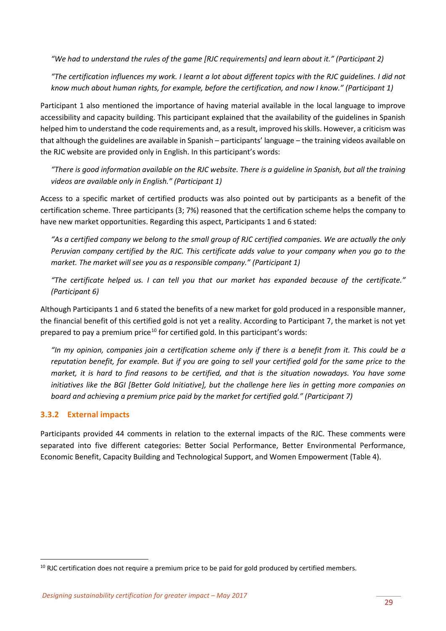*"We had to understand the rules of the game [RJC requirements] and learn about it." (Participant 2)*

*"The certification influences my work. I learnt a lot about different topics with the RJC guidelines. I did not know much about human rights, for example, before the certification, and now I know." (Participant 1)*

Participant 1 also mentioned the importance of having material available in the local language to improve accessibility and capacity building. This participant explained that the availability of the guidelines in Spanish helped him to understand the code requirements and, as a result, improved his skills. However, a criticism was that although the guidelines are available in Spanish – participants' language – the training videos available on the RJC website are provided only in English. In this participant's words:

*"There is good information available on the RJC website. There is a guideline in Spanish, but all the training videos are available only in English." (Participant 1)*

Access to a specific market of certified products was also pointed out by participants as a benefit of the certification scheme. Three participants (3; 7%) reasoned that the certification scheme helps the company to have new market opportunities. Regarding this aspect, Participants 1 and 6 stated:

*"As a certified company we belong to the small group of RJC certified companies. We are actually the only Peruvian company certified by the RJC. This certificate adds value to your company when you go to the market. The market will see you as a responsible company." (Participant 1)*

*"The certificate helped us. I can tell you that our market has expanded because of the certificate." (Participant 6)*

Although Participants 1 and 6 stated the benefits of a new market for gold produced in a responsible manner, the financial benefit of this certified gold is not yet a reality. According to Participant 7, the market is not yet prepared to pay a premium price<sup>[10](#page-28-1)</sup> for certified gold. In this participant's words:

*"In my opinion, companies join a certification scheme only if there is a benefit from it. This could be a reputation benefit, for example. But if you are going to sell your certified gold for the same price to the market, it is hard to find reasons to be certified, and that is the situation nowadays. You have some initiatives like the BGI [Better Gold Initiative], but the challenge here lies in getting more companies on board and achieving a premium price paid by the market for certified gold." (Participant 7)*

#### <span id="page-28-0"></span>**3.3.2 External impacts**

Participants provided 44 comments in relation to the external impacts of the RJC. These comments were separated into five different categories: Better Social Performance, Better Environmental Performance, Economic Benefit, Capacity Building and Technological Support, and Women Empowerment (Table 4).

<span id="page-28-1"></span> $10$  RJC certification does not require a premium price to be paid for gold produced by certified members.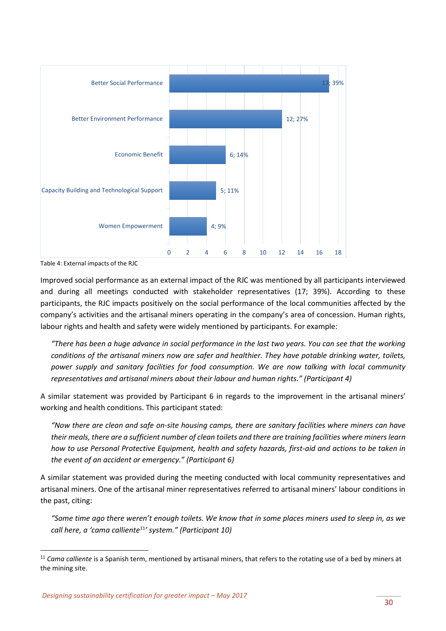

Table 4: External impacts of the RJC

Improved social performance as an external impact of the RJC was mentioned by all participants interviewed and during all meetings conducted with stakeholder representatives (17; 39%). According to these participants, the RJC impacts positively on the social performance of the local communities affected by the company's activities and the artisanal miners operating in the company's area of concession. Human rights, labour rights and health and safety were widely mentioned by participants. For example:

*"There has been a huge advance in social performance in the last two years. You can see that the working conditions of the artisanal miners now are safer and healthier. They have potable drinking water, toilets, power supply and sanitary facilities for food consumption. We are now talking with local community representatives and artisanal miners about their labour and human rights." (Participant 4)*

A similar statement was provided by Participant 6 in regards to the improvement in the artisanal miners' working and health conditions. This participant stated:

*"Now there are clean and safe on-site housing camps, there are sanitary facilities where miners can have their meals, there are a sufficient number of clean toilets and there are training facilities where miners learn how to use Personal Protective Equipment, health and safety hazards, first-aid and actions to be taken in the event of an accident or emergency." (Participant 6)*

A similar statement was provided during the meeting conducted with local community representatives and artisanal miners. One of the artisanal miner representatives referred to artisanal miners' labour conditions in the past, citing:

*"Some time ago there weren't enough toilets. We know that in some places miners used to sleep in, as we call here, a 'cama calliente*[11](#page-29-0)*' system." (Participant 10)*

<span id="page-29-0"></span><sup>&</sup>lt;sup>11</sup> Cama calliente is a Spanish term, mentioned by artisanal miners, that refers to the rotating use of a bed by miners at the mining site.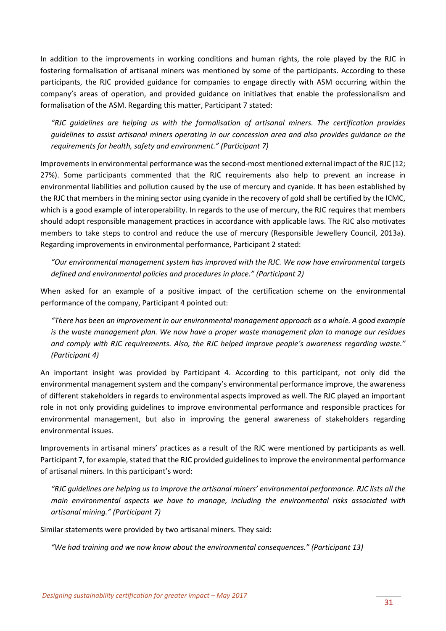In addition to the improvements in working conditions and human rights, the role played by the RJC in fostering formalisation of artisanal miners was mentioned by some of the participants. According to these participants, the RJC provided guidance for companies to engage directly with ASM occurring within the company's areas of operation, and provided guidance on initiatives that enable the professionalism and formalisation of the ASM. Regarding this matter, Participant 7 stated:

*"RJC guidelines are helping us with the formalisation of artisanal miners. The certification provides guidelines to assist artisanal miners operating in our concession area and also provides guidance on the requirements for health, safety and environment." (Participant 7)*

Improvements in environmental performance was the second-most mentioned external impact of the RJC (12; 27%). Some participants commented that the RJC requirements also help to prevent an increase in environmental liabilities and pollution caused by the use of mercury and cyanide. It has been established by the RJC that members in the mining sector using cyanide in the recovery of gold shall be certified by the ICMC, which is a good example of interoperability. In regards to the use of mercury, the RJC requires that members should adopt responsible management practices in accordance with applicable laws. The RJC also motivates members to take steps to control and reduce the use of mercury (Responsible Jewellery Council, 2013a). Regarding improvements in environmental performance, Participant 2 stated:

*"Our environmental management system has improved with the RJC. We now have environmental targets defined and environmental policies and procedures in place." (Participant 2)* 

When asked for an example of a positive impact of the certification scheme on the environmental performance of the company, Participant 4 pointed out:

*"There has been an improvement in our environmental management approach as a whole. A good example is the waste management plan. We now have a proper waste management plan to manage our residues and comply with RJC requirements. Also, the RJC helped improve people's awareness regarding waste." (Participant 4)*

An important insight was provided by Participant 4. According to this participant, not only did the environmental management system and the company's environmental performance improve, the awareness of different stakeholders in regards to environmental aspects improved as well. The RJC played an important role in not only providing guidelines to improve environmental performance and responsible practices for environmental management, but also in improving the general awareness of stakeholders regarding environmental issues.

Improvements in artisanal miners' practices as a result of the RJC were mentioned by participants as well. Participant 7, for example, stated that the RJC provided guidelines to improve the environmental performance of artisanal miners. In this participant's word:

*"RJC guidelines are helping us to improve the artisanal miners' environmental performance. RJC lists all the main environmental aspects we have to manage, including the environmental risks associated with artisanal mining." (Participant 7)* 

Similar statements were provided by two artisanal miners. They said:

*"We had training and we now know about the environmental consequences." (Participant 13)*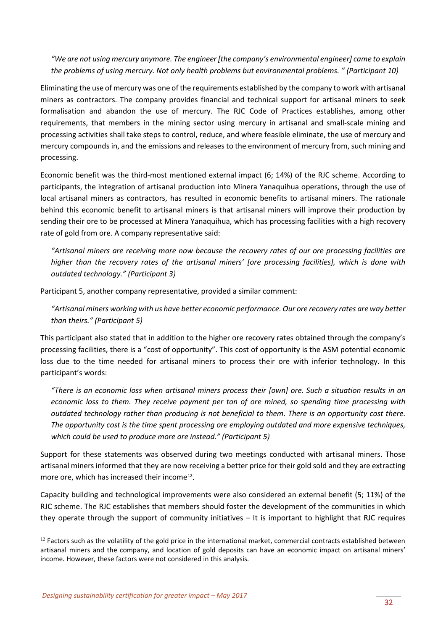*"We are not using mercury anymore. The engineer [the company's environmental engineer] came to explain the problems of using mercury. Not only health problems but environmental problems. " (Participant 10)*

Eliminating the use of mercury was one of the requirements established by the company to work with artisanal miners as contractors. The company provides financial and technical support for artisanal miners to seek formalisation and abandon the use of mercury. The RJC Code of Practices establishes, among other requirements, that members in the mining sector using mercury in artisanal and small-scale mining and processing activities shall take steps to control, reduce, and where feasible eliminate, the use of mercury and mercury compounds in, and the emissions and releases to the environment of mercury from, such mining and processing.

Economic benefit was the third-most mentioned external impact (6; 14%) of the RJC scheme. According to participants, the integration of artisanal production into Minera Yanaquihua operations, through the use of local artisanal miners as contractors, has resulted in economic benefits to artisanal miners. The rationale behind this economic benefit to artisanal miners is that artisanal miners will improve their production by sending their ore to be processed at Minera Yanaquihua, which has processing facilities with a high recovery rate of gold from ore. A company representative said:

*"Artisanal miners are receiving more now because the recovery rates of our ore processing facilities are higher than the recovery rates of the artisanal miners' [ore processing facilities], which is done with outdated technology." (Participant 3)*

Participant 5, another company representative, provided a similar comment:

*"Artisanal miners working with us have better economic performance. Our ore recovery rates are way better than theirs." (Participant 5)*

This participant also stated that in addition to the higher ore recovery rates obtained through the company's processing facilities, there is a "cost of opportunity". This cost of opportunity is the ASM potential economic loss due to the time needed for artisanal miners to process their ore with inferior technology. In this participant's words:

*"There is an economic loss when artisanal miners process their [own] ore. Such a situation results in an economic loss to them. They receive payment per ton of ore mined, so spending time processing with outdated technology rather than producing is not beneficial to them. There is an opportunity cost there. The opportunity cost is the time spent processing ore employing outdated and more expensive techniques, which could be used to produce more ore instead." (Participant 5)*

Support for these statements was observed during two meetings conducted with artisanal miners. Those artisanal miners informed that they are now receiving a better price for their gold sold and they are extracting more ore, which has increased their income<sup>[12](#page-31-0)</sup>.

Capacity building and technological improvements were also considered an external benefit (5; 11%) of the RJC scheme. The RJC establishes that members should foster the development of the communities in which they operate through the support of community initiatives – It is important to highlight that RJC requires

<span id="page-31-0"></span> $12$  Factors such as the volatility of the gold price in the international market, commercial contracts established between artisanal miners and the company, and location of gold deposits can have an economic impact on artisanal miners' income. However, these factors were not considered in this analysis.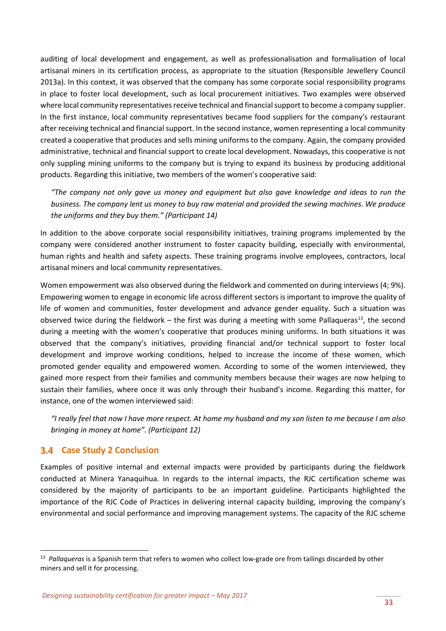auditing of local development and engagement, as well as professionalisation and formalisation of local artisanal miners in its certification process, as appropriate to the situation (Responsible Jewellery Council 2013a). In this context, it was observed that the company has some corporate social responsibility programs in place to foster local development, such as local procurement initiatives. Two examples were observed where local community representatives receive technical and financial support to become a company supplier. In the first instance, local community representatives became food suppliers for the company's restaurant after receiving technical and financial support. In the second instance, women representing a local community created a cooperative that produces and sells mining uniforms to the company. Again, the company provided administrative, technical and financial support to create local development. Nowadays, this cooperative is not only suppling mining uniforms to the company but is trying to expand its business by producing additional products. Regarding this initiative, two members of the women's cooperative said:

*"The company not only gave us money and equipment but also gave knowledge and ideas to run the business. The company lent us money to buy raw material and provided the sewing machines. We produce the uniforms and they buy them." (Participant 14)*

In addition to the above corporate social responsibility initiatives, training programs implemented by the company were considered another instrument to foster capacity building, especially with environmental, human rights and health and safety aspects. These training programs involve employees, contractors, local artisanal miners and local community representatives.

Women empowerment was also observed during the fieldwork and commented on during interviews (4; 9%). Empowering women to engage in economic life across different sectors is important to improve the quality of life of women and communities, foster development and advance gender equality. Such a situation was observed twice during the fieldwork – the first was during a meeting with some Pallaqueras<sup>13</sup>, the second during a meeting with the women's cooperative that produces mining uniforms. In both situations it was observed that the company's initiatives, providing financial and/or technical support to foster local development and improve working conditions, helped to increase the income of these women, which promoted gender equality and empowered women. According to some of the women interviewed, they gained more respect from their families and community members because their wages are now helping to sustain their families, where once it was only through their husband's income. Regarding this matter, for instance, one of the women interviewed said:

*"I really feel that now I have more respect. At home my husband and my son listen to me because I am also bringing in money at home". (Participant 12)*

#### <span id="page-32-0"></span>**Case Study 2 Conclusion**

Examples of positive internal and external impacts were provided by participants during the fieldwork conducted at Minera Yanaquihua. In regards to the internal impacts, the RJC certification scheme was considered by the majority of participants to be an important guideline. Participants highlighted the importance of the RJC Code of Practices in delivering internal capacity building, improving the company's environmental and social performance and improving management systems. The capacity of the RJC scheme

<span id="page-32-1"></span> <sup>13</sup> *Pallaqueras* is a Spanish term that refers to women who collect low-grade ore from tailings discarded by other miners and sell it for processing.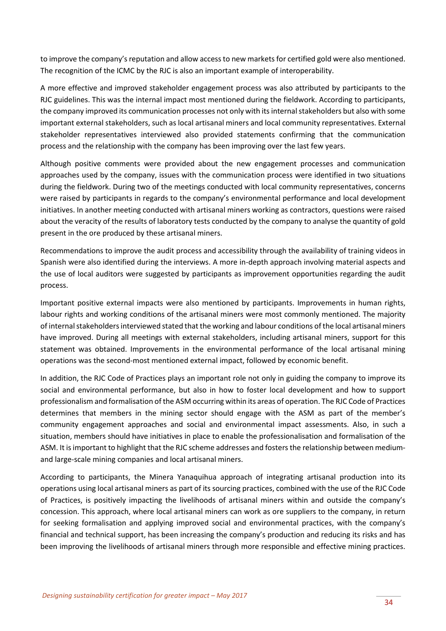to improve the company's reputation and allow access to new markets for certified gold were also mentioned. The recognition of the ICMC by the RJC is also an important example of interoperability.

A more effective and improved stakeholder engagement process was also attributed by participants to the RJC guidelines. This was the internal impact most mentioned during the fieldwork. According to participants, the company improved its communication processes not only with its internal stakeholders but also with some important external stakeholders, such as local artisanal miners and local community representatives. External stakeholder representatives interviewed also provided statements confirming that the communication process and the relationship with the company has been improving over the last few years.

Although positive comments were provided about the new engagement processes and communication approaches used by the company, issues with the communication process were identified in two situations during the fieldwork. During two of the meetings conducted with local community representatives, concerns were raised by participants in regards to the company's environmental performance and local development initiatives. In another meeting conducted with artisanal miners working as contractors, questions were raised about the veracity of the results of laboratory tests conducted by the company to analyse the quantity of gold present in the ore produced by these artisanal miners.

Recommendations to improve the audit process and accessibility through the availability of training videos in Spanish were also identified during the interviews. A more in-depth approach involving material aspects and the use of local auditors were suggested by participants as improvement opportunities regarding the audit process.

Important positive external impacts were also mentioned by participants. Improvements in human rights, labour rights and working conditions of the artisanal miners were most commonly mentioned. The majority of internal stakeholders interviewed stated that the working and labour conditions of the local artisanal miners have improved. During all meetings with external stakeholders, including artisanal miners, support for this statement was obtained. Improvements in the environmental performance of the local artisanal mining operations was the second-most mentioned external impact, followed by economic benefit.

In addition, the RJC Code of Practices plays an important role not only in guiding the company to improve its social and environmental performance, but also in how to foster local development and how to support professionalism and formalisation of the ASM occurring within its areas of operation. The RJC Code of Practices determines that members in the mining sector should engage with the ASM as part of the member's community engagement approaches and social and environmental impact assessments. Also, in such a situation, members should have initiatives in place to enable the professionalisation and formalisation of the ASM. It is important to highlight that the RJC scheme addresses and fosters the relationship between mediumand large-scale mining companies and local artisanal miners.

According to participants, the Minera Yanaquihua approach of integrating artisanal production into its operations using local artisanal miners as part of its sourcing practices, combined with the use of the RJC Code of Practices, is positively impacting the livelihoods of artisanal miners within and outside the company's concession. This approach, where local artisanal miners can work as ore suppliers to the company, in return for seeking formalisation and applying improved social and environmental practices, with the company's financial and technical support, has been increasing the company's production and reducing its risks and has been improving the livelihoods of artisanal miners through more responsible and effective mining practices.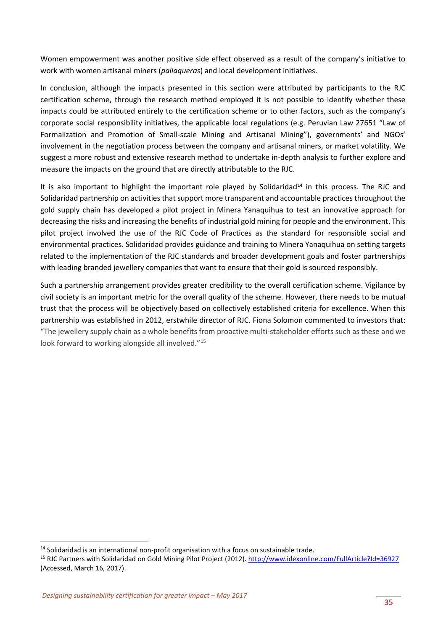Women empowerment was another positive side effect observed as a result of the company's initiative to work with women artisanal miners (*pallaqueras*) and local development initiatives.

In conclusion, although the impacts presented in this section were attributed by participants to the RJC certification scheme, through the research method employed it is not possible to identify whether these impacts could be attributed entirely to the certification scheme or to other factors, such as the company's corporate social responsibility initiatives, the applicable local regulations (e.g. Peruvian Law 27651 "Law of Formalization and Promotion of Small-scale Mining and Artisanal Mining"), governments' and NGOs' involvement in the negotiation process between the company and artisanal miners, or market volatility. We suggest a more robust and extensive research method to undertake in-depth analysis to further explore and measure the impacts on the ground that are directly attributable to the RJC.

It is also important to highlight the important role played by Solidaridad<sup>[14](#page-34-0)</sup> in this process. The RJC and Solidaridad partnership on activities that support more transparent and accountable practices throughout the gold supply chain has developed a pilot project in Minera Yanaquihua to test an innovative approach for decreasing the risks and increasing the benefits of industrial gold mining for people and the environment. This pilot project involved the use of the RJC Code of Practices as the standard for responsible social and environmental practices. Solidaridad provides guidance and training to Minera Yanaquihua on setting targets related to the implementation of the RJC standards and broader development goals and foster partnerships with leading branded jewellery companies that want to ensure that their gold is sourced responsibly.

Such a partnership arrangement provides greater credibility to the overall certification scheme. Vigilance by civil society is an important metric for the overall quality of the scheme. However, there needs to be mutual trust that the process will be objectively based on collectively established criteria for excellence. When this partnership was established in 2012, erstwhile director of RJC. Fiona Solomon commented to investors that: "The jewellery supply chain as a whole benefits from proactive multi-stakeholder efforts such as these and we look forward to working alongside all involved."<sup>[15](#page-34-1)</sup>

<span id="page-34-0"></span><sup>&</sup>lt;sup>14</sup> Solidaridad is an international non-profit organisation with a focus on sustainable trade.

<span id="page-34-1"></span><sup>&</sup>lt;sup>15</sup> RJC Partners with Solidaridad on Gold Mining Pilot Project (2012)[. http://www.idexonline.com/FullArticle?Id=36927](http://www.idexonline.com/FullArticle?Id=36927) (Accessed, March 16, 2017).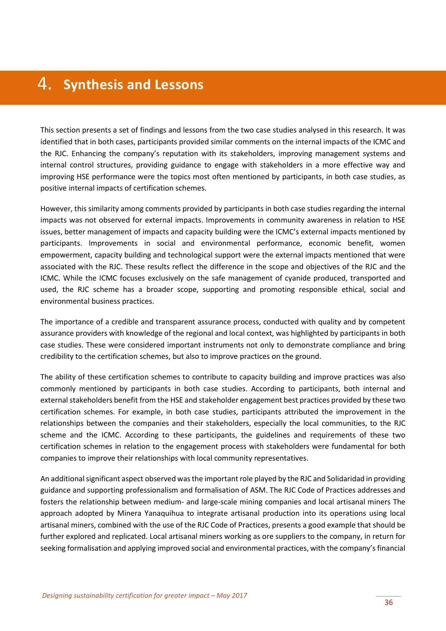# <span id="page-35-0"></span>**Synthesis and Lessons**

This section presents a set of findings and lessons from the two case studies analysed in this research. It was identified that in both cases, participants provided similar comments on the internal impacts of the ICMC and the RJC. Enhancing the company's reputation with its stakeholders, improving management systems and internal control structures, providing guidance to engage with stakeholders in a more effective way and improving HSE performance were the topics most often mentioned by participants, in both case studies, as positive internal impacts of certification schemes.

However, this similarity among comments provided by participants in both case studies regarding the internal impacts was not observed for external impacts. Improvements in community awareness in relation to HSE issues, better management of impacts and capacity building were the ICMC's external impacts mentioned by participants. Improvements in social and environmental performance, economic benefit, women empowerment, capacity building and technological support were the external impacts mentioned that were associated with the RJC. These results reflect the difference in the scope and objectives of the RJC and the ICMC. While the ICMC focuses exclusively on the safe management of cyanide produced, transported and used, the RJC scheme has a broader scope, supporting and promoting responsible ethical, social and environmental business practices.

The importance of a credible and transparent assurance process, conducted with quality and by competent assurance providers with knowledge of the regional and local context, was highlighted by participants in both case studies. These were considered important instruments not only to demonstrate compliance and bring credibility to the certification schemes, but also to improve practices on the ground.

The ability of these certification schemes to contribute to capacity building and improve practices was also commonly mentioned by participants in both case studies. According to participants, both internal and external stakeholders benefit from the HSE and stakeholder engagement best practices provided by these two certification schemes. For example, in both case studies, participants attributed the improvement in the relationships between the companies and their stakeholders, especially the local communities, to the RJC scheme and the ICMC. According to these participants, the guidelines and requirements of these two certification schemes in relation to the engagement process with stakeholders were fundamental for both companies to improve their relationships with local community representatives.

An additional significant aspect observed was the important role played by the RJC and Solidaridad in providing guidance and supporting professionalism and formalisation of ASM. The RJC Code of Practices addresses and fosters the relationship between medium- and large-scale mining companies and local artisanal miners The approach adopted by Minera Yanaquihua to integrate artisanal production into its operations using local artisanal miners, combined with the use of the RJC Code of Practices, presents a good example that should be further explored and replicated. Local artisanal miners working as ore suppliers to the company, in return for seeking formalisation and applying improved social and environmental practices, with the company's financial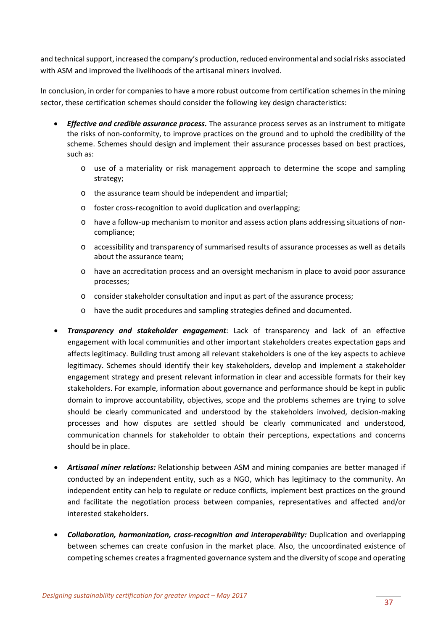and technical support, increased the company's production, reduced environmental and social risks associated with ASM and improved the livelihoods of the artisanal miners involved.

In conclusion, in order for companies to have a more robust outcome from certification schemesin the mining sector, these certification schemes should consider the following key design characteristics:

- *Effective and credible assurance process.* The assurance process serves as an instrument to mitigate the risks of non-conformity, to improve practices on the ground and to uphold the credibility of the scheme. Schemes should design and implement their assurance processes based on best practices, such as:
	- o use of a materiality or risk management approach to determine the scope and sampling strategy;
	- o the assurance team should be independent and impartial;
	- o foster cross-recognition to avoid duplication and overlapping;
	- o have a follow-up mechanism to monitor and assess action plans addressing situations of noncompliance;
	- o accessibility and transparency of summarised results of assurance processes as well as details about the assurance team;
	- o have an accreditation process and an oversight mechanism in place to avoid poor assurance processes;
	- o consider stakeholder consultation and input as part of the assurance process;
	- o have the audit procedures and sampling strategies defined and documented.
- *Transparency and stakeholder engagement*: Lack of transparency and lack of an effective engagement with local communities and other important stakeholders creates expectation gaps and affects legitimacy. Building trust among all relevant stakeholders is one of the key aspects to achieve legitimacy. Schemes should identify their key stakeholders, develop and implement a stakeholder engagement strategy and present relevant information in clear and accessible formats for their key stakeholders. For example, information about governance and performance should be kept in public domain to improve accountability, objectives, scope and the problems schemes are trying to solve should be clearly communicated and understood by the stakeholders involved, decision-making processes and how disputes are settled should be clearly communicated and understood, communication channels for stakeholder to obtain their perceptions, expectations and concerns should be in place.
- *Artisanal miner relations:* Relationship between ASM and mining companies are better managed if conducted by an independent entity, such as a NGO, which has legitimacy to the community. An independent entity can help to regulate or reduce conflicts, implement best practices on the ground and facilitate the negotiation process between companies, representatives and affected and/or interested stakeholders.
- *Collaboration, harmonization, cross-recognition and interoperability:* Duplication and overlapping between schemes can create confusion in the market place. Also, the uncoordinated existence of competing schemes creates a fragmented governance system and the diversity of scope and operating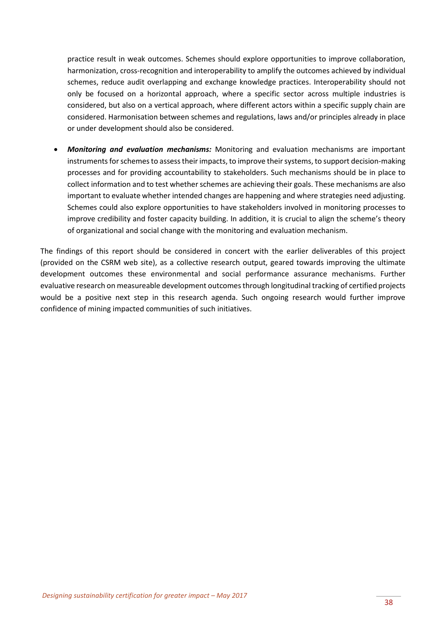practice result in weak outcomes. Schemes should explore opportunities to improve collaboration, harmonization, cross-recognition and interoperability to amplify the outcomes achieved by individual schemes, reduce audit overlapping and exchange knowledge practices. Interoperability should not only be focused on a horizontal approach, where a specific sector across multiple industries is considered, but also on a vertical approach, where different actors within a specific supply chain are considered. Harmonisation between schemes and regulations, laws and/or principles already in place or under development should also be considered.

• *Monitoring and evaluation mechanisms:* Monitoring and evaluation mechanisms are important instruments for schemes to assess their impacts, to improve their systems, to support decision-making processes and for providing accountability to stakeholders. Such mechanisms should be in place to collect information and to test whether schemes are achieving their goals. These mechanisms are also important to evaluate whether intended changes are happening and where strategies need adjusting. Schemes could also explore opportunities to have stakeholders involved in monitoring processes to improve credibility and foster capacity building. In addition, it is crucial to align the scheme's theory of organizational and social change with the monitoring and evaluation mechanism.

The findings of this report should be considered in concert with the earlier deliverables of this project (provided on the CSRM web site), as a collective research output, geared towards improving the ultimate development outcomes these environmental and social performance assurance mechanisms. Further evaluative research on measureable development outcomes through longitudinal tracking of certified projects would be a positive next step in this research agenda. Such ongoing research would further improve confidence of mining impacted communities of such initiatives.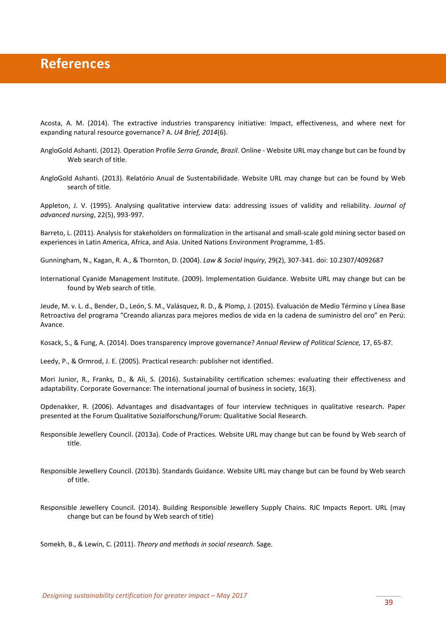### <span id="page-38-0"></span>**References**

Acosta, A. M. (2014). The extractive industries transparency initiative: Impact, effectiveness, and where next for expanding natural resource governance? A. *U4 Brief, 2014*(6).

- AngloGold Ashanti. (2012). Operation Profile *Serra Grande, Brazil*. Online Website URL may change but can be found by Web search of title.
- AngloGold Ashanti. (2013). Relatório Anual de Sustentabilidade. Website URL may change but can be found by Web search of title.

Appleton, J. V. (1995). Analysing qualitative interview data: addressing issues of validity and reliability. *Journal of advanced nursing*, 22(5), 993-997.

Barreto, L. (2011). Analysis for stakeholders on formalization in the artisanal and small-scale gold mining sector based on experiences in Latin America, Africa, and Asia. United Nations Environment Programme, 1-85.

Gunningham, N., Kagan, R. A., & Thornton, D. (2004). *Law & Social Inquiry*, 29(2), 307-341. doi: 10.2307/4092687

International Cyanide Management Institute. (2009). Implementation Guidance. Website URL may change but can be found by Web search of title.

Jeude, M. v. L. d., Bender, D., León, S. M., Valásquez, R. D., & Plomp, J. (2015). Evaluación de Medio Término y Línea Base Retroactiva del programa "Creando alianzas para mejores medios de vida en la cadena de suministro del oro" en Perú: Avance.

Kosack, S., & Fung, A. (2014). Does transparency improve governance? *Annual Review of Political Science,* 17, 65-87.

Leedy, P., & Ormrod, J. E. (2005). Practical research: publisher not identified.

Mori Junior, R., Franks, D., & Ali, S. (2016). Sustainability certification schemes: evaluating their effectiveness and adaptability. Corporate Governance: The international journal of business in society, 16(3).

Opdenakker, R. (2006). Advantages and disadvantages of four interview techniques in qualitative research. Paper presented at the Forum Qualitative Sozialforschung/Forum: Qualitative Social Research.

- Responsible Jewellery Council. (2013a). Code of Practices. Website URL may change but can be found by Web search of title.
- Responsible Jewellery Council. (2013b). Standards Guidance. Website URL may change but can be found by Web search of title.
- Responsible Jewellery Council. (2014). Building Responsible Jewellery Supply Chains. RJC Impacts Report. URL (may change but can be found by Web search of title)

Somekh, B., & Lewin, C. (2011). *Theory and methods in social research*. Sage.